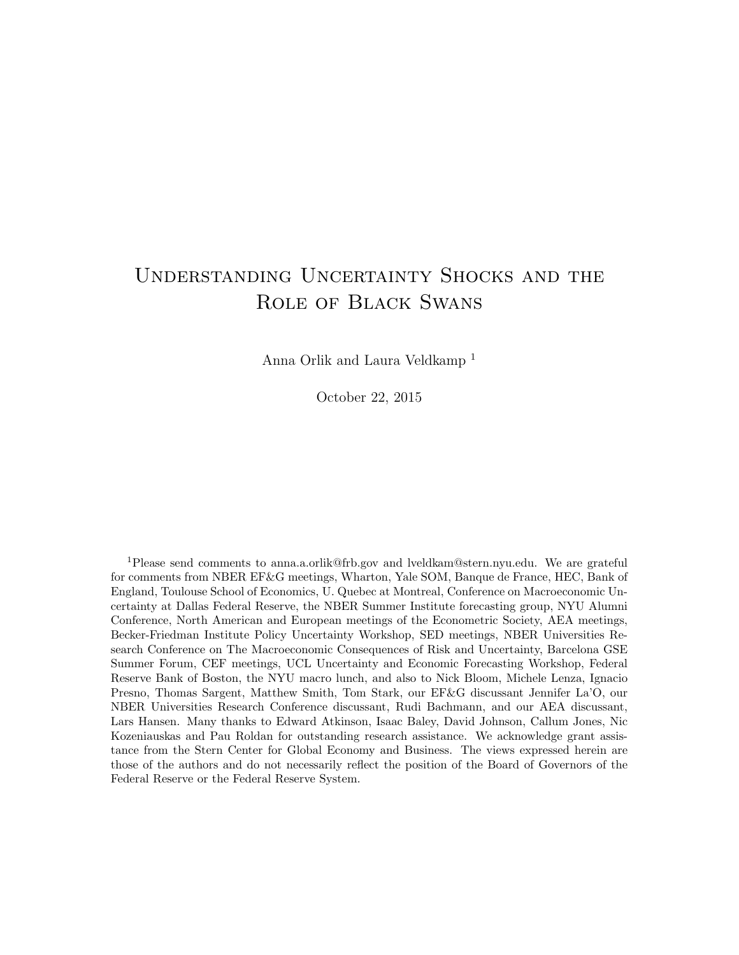# Understanding Uncertainty Shocks and the Role of Black Swans

Anna Orlik and Laura Veldkamp <sup>1</sup>

October 22, 2015

<sup>1</sup>Please send comments to anna.a.orlik@frb.gov and lveldkam@stern.nyu.edu. We are grateful for comments from NBER EF&G meetings, Wharton, Yale SOM, Banque de France, HEC, Bank of England, Toulouse School of Economics, U. Quebec at Montreal, Conference on Macroeconomic Uncertainty at Dallas Federal Reserve, the NBER Summer Institute forecasting group, NYU Alumni Conference, North American and European meetings of the Econometric Society, AEA meetings, Becker-Friedman Institute Policy Uncertainty Workshop, SED meetings, NBER Universities Research Conference on The Macroeconomic Consequences of Risk and Uncertainty, Barcelona GSE Summer Forum, CEF meetings, UCL Uncertainty and Economic Forecasting Workshop, Federal Reserve Bank of Boston, the NYU macro lunch, and also to Nick Bloom, Michele Lenza, Ignacio Presno, Thomas Sargent, Matthew Smith, Tom Stark, our EF&G discussant Jennifer La'O, our NBER Universities Research Conference discussant, Rudi Bachmann, and our AEA discussant, Lars Hansen. Many thanks to Edward Atkinson, Isaac Baley, David Johnson, Callum Jones, Nic Kozeniauskas and Pau Roldan for outstanding research assistance. We acknowledge grant assistance from the Stern Center for Global Economy and Business. The views expressed herein are those of the authors and do not necessarily reflect the position of the Board of Governors of the Federal Reserve or the Federal Reserve System.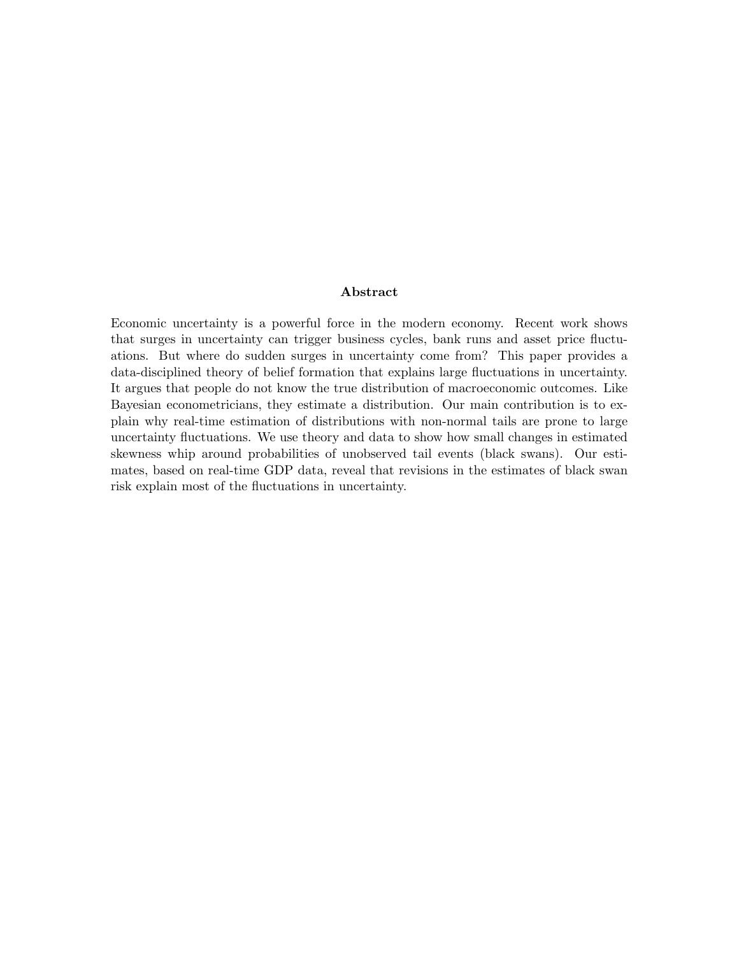#### Abstract

Economic uncertainty is a powerful force in the modern economy. Recent work shows that surges in uncertainty can trigger business cycles, bank runs and asset price fluctuations. But where do sudden surges in uncertainty come from? This paper provides a data-disciplined theory of belief formation that explains large fluctuations in uncertainty. It argues that people do not know the true distribution of macroeconomic outcomes. Like Bayesian econometricians, they estimate a distribution. Our main contribution is to explain why real-time estimation of distributions with non-normal tails are prone to large uncertainty fluctuations. We use theory and data to show how small changes in estimated skewness whip around probabilities of unobserved tail events (black swans). Our estimates, based on real-time GDP data, reveal that revisions in the estimates of black swan risk explain most of the fluctuations in uncertainty.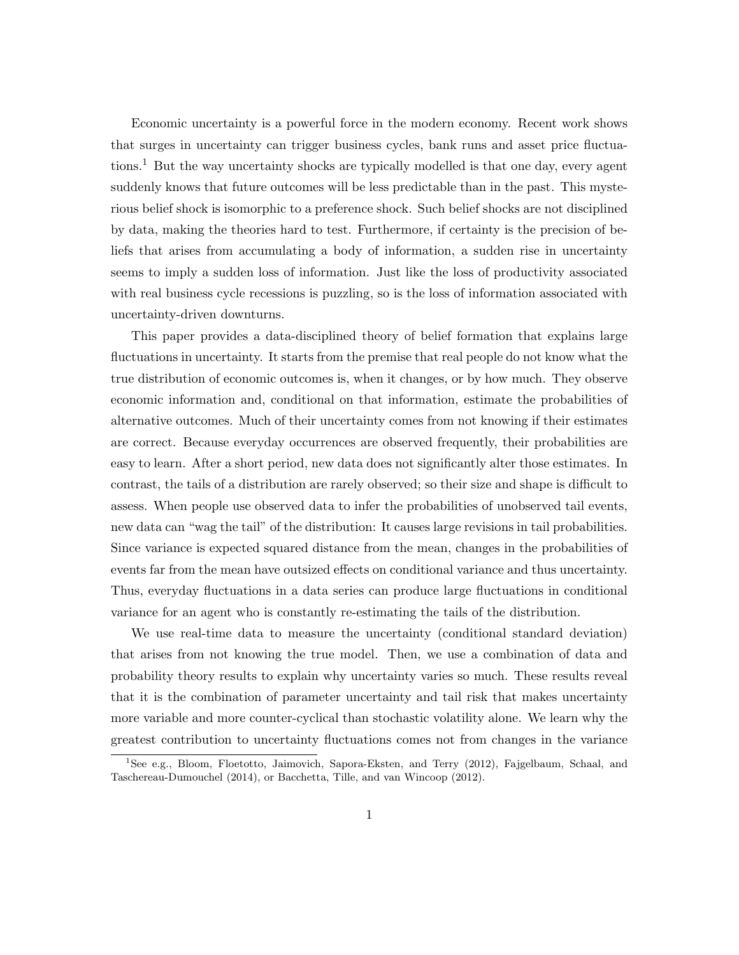Economic uncertainty is a powerful force in the modern economy. Recent work shows that surges in uncertainty can trigger business cycles, bank runs and asset price fluctuations.<sup>1</sup> But the way uncertainty shocks are typically modelled is that one day, every agent suddenly knows that future outcomes will be less predictable than in the past. This mysterious belief shock is isomorphic to a preference shock. Such belief shocks are not disciplined by data, making the theories hard to test. Furthermore, if certainty is the precision of beliefs that arises from accumulating a body of information, a sudden rise in uncertainty seems to imply a sudden loss of information. Just like the loss of productivity associated with real business cycle recessions is puzzling, so is the loss of information associated with uncertainty-driven downturns.

This paper provides a data-disciplined theory of belief formation that explains large fluctuations in uncertainty. It starts from the premise that real people do not know what the true distribution of economic outcomes is, when it changes, or by how much. They observe economic information and, conditional on that information, estimate the probabilities of alternative outcomes. Much of their uncertainty comes from not knowing if their estimates are correct. Because everyday occurrences are observed frequently, their probabilities are easy to learn. After a short period, new data does not significantly alter those estimates. In contrast, the tails of a distribution are rarely observed; so their size and shape is difficult to assess. When people use observed data to infer the probabilities of unobserved tail events, new data can "wag the tail" of the distribution: It causes large revisions in tail probabilities. Since variance is expected squared distance from the mean, changes in the probabilities of events far from the mean have outsized effects on conditional variance and thus uncertainty. Thus, everyday fluctuations in a data series can produce large fluctuations in conditional variance for an agent who is constantly re-estimating the tails of the distribution.

We use real-time data to measure the uncertainty (conditional standard deviation) that arises from not knowing the true model. Then, we use a combination of data and probability theory results to explain why uncertainty varies so much. These results reveal that it is the combination of parameter uncertainty and tail risk that makes uncertainty more variable and more counter-cyclical than stochastic volatility alone. We learn why the greatest contribution to uncertainty fluctuations comes not from changes in the variance

<sup>1</sup>See e.g., Bloom, Floetotto, Jaimovich, Sapora-Eksten, and Terry (2012), Fajgelbaum, Schaal, and Taschereau-Dumouchel (2014), or Bacchetta, Tille, and van Wincoop (2012).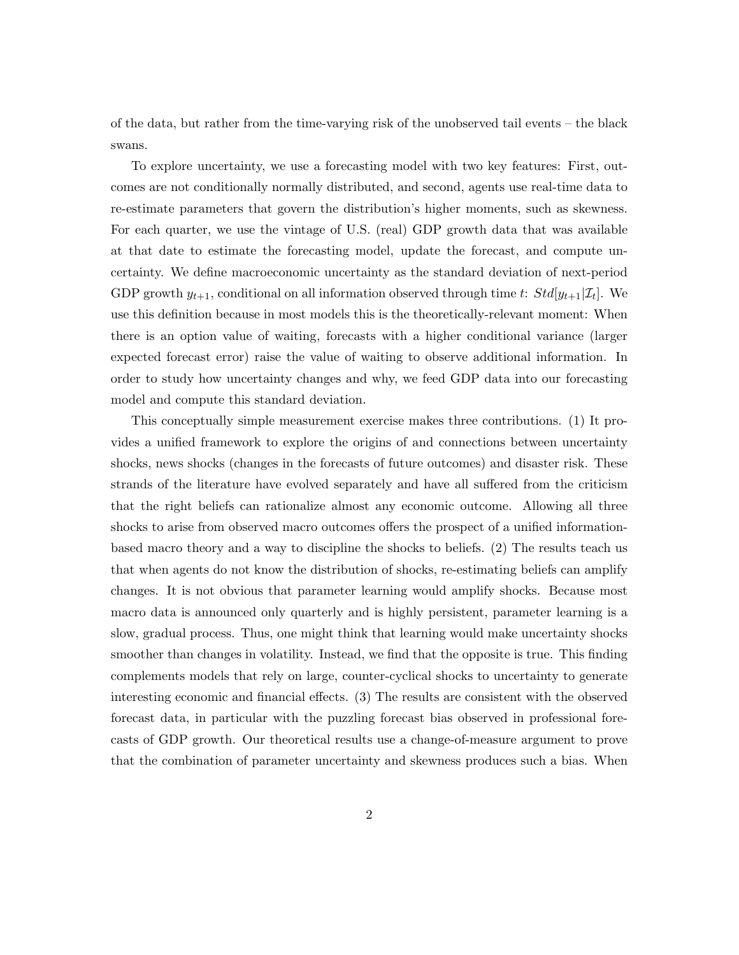of the data, but rather from the time-varying risk of the unobserved tail events – the black swans.

To explore uncertainty, we use a forecasting model with two key features: First, outcomes are not conditionally normally distributed, and second, agents use real-time data to re-estimate parameters that govern the distribution's higher moments, such as skewness. For each quarter, we use the vintage of U.S. (real) GDP growth data that was available at that date to estimate the forecasting model, update the forecast, and compute uncertainty. We define macroeconomic uncertainty as the standard deviation of next-period GDP growth  $y_{t+1}$ , conditional on all information observed through time t:  $Std[y_{t+1}|\mathcal{I}_t]$ . We use this definition because in most models this is the theoretically-relevant moment: When there is an option value of waiting, forecasts with a higher conditional variance (larger expected forecast error) raise the value of waiting to observe additional information. In order to study how uncertainty changes and why, we feed GDP data into our forecasting model and compute this standard deviation.

This conceptually simple measurement exercise makes three contributions. (1) It provides a unified framework to explore the origins of and connections between uncertainty shocks, news shocks (changes in the forecasts of future outcomes) and disaster risk. These strands of the literature have evolved separately and have all suffered from the criticism that the right beliefs can rationalize almost any economic outcome. Allowing all three shocks to arise from observed macro outcomes offers the prospect of a unified informationbased macro theory and a way to discipline the shocks to beliefs. (2) The results teach us that when agents do not know the distribution of shocks, re-estimating beliefs can amplify changes. It is not obvious that parameter learning would amplify shocks. Because most macro data is announced only quarterly and is highly persistent, parameter learning is a slow, gradual process. Thus, one might think that learning would make uncertainty shocks smoother than changes in volatility. Instead, we find that the opposite is true. This finding complements models that rely on large, counter-cyclical shocks to uncertainty to generate interesting economic and financial effects. (3) The results are consistent with the observed forecast data, in particular with the puzzling forecast bias observed in professional forecasts of GDP growth. Our theoretical results use a change-of-measure argument to prove that the combination of parameter uncertainty and skewness produces such a bias. When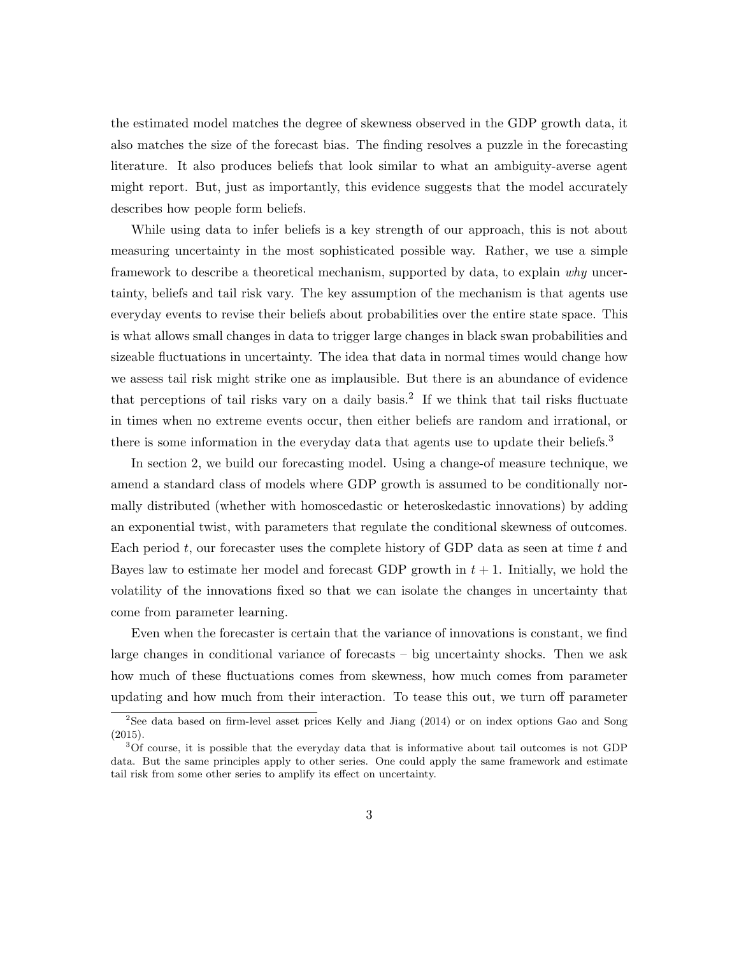the estimated model matches the degree of skewness observed in the GDP growth data, it also matches the size of the forecast bias. The finding resolves a puzzle in the forecasting literature. It also produces beliefs that look similar to what an ambiguity-averse agent might report. But, just as importantly, this evidence suggests that the model accurately describes how people form beliefs.

While using data to infer beliefs is a key strength of our approach, this is not about measuring uncertainty in the most sophisticated possible way. Rather, we use a simple framework to describe a theoretical mechanism, supported by data, to explain why uncertainty, beliefs and tail risk vary. The key assumption of the mechanism is that agents use everyday events to revise their beliefs about probabilities over the entire state space. This is what allows small changes in data to trigger large changes in black swan probabilities and sizeable fluctuations in uncertainty. The idea that data in normal times would change how we assess tail risk might strike one as implausible. But there is an abundance of evidence that perceptions of tail risks vary on a daily basis.<sup>2</sup> If we think that tail risks fluctuate in times when no extreme events occur, then either beliefs are random and irrational, or there is some information in the everyday data that agents use to update their beliefs.<sup>3</sup>

In section 2, we build our forecasting model. Using a change-of measure technique, we amend a standard class of models where GDP growth is assumed to be conditionally normally distributed (whether with homoscedastic or heteroskedastic innovations) by adding an exponential twist, with parameters that regulate the conditional skewness of outcomes. Each period  $t$ , our forecaster uses the complete history of GDP data as seen at time  $t$  and Bayes law to estimate her model and forecast GDP growth in  $t + 1$ . Initially, we hold the volatility of the innovations fixed so that we can isolate the changes in uncertainty that come from parameter learning.

Even when the forecaster is certain that the variance of innovations is constant, we find large changes in conditional variance of forecasts – big uncertainty shocks. Then we ask how much of these fluctuations comes from skewness, how much comes from parameter updating and how much from their interaction. To tease this out, we turn off parameter

<sup>&</sup>lt;sup>2</sup>See data based on firm-level asset prices Kelly and Jiang (2014) or on index options Gao and Song (2015).

<sup>3</sup>Of course, it is possible that the everyday data that is informative about tail outcomes is not GDP data. But the same principles apply to other series. One could apply the same framework and estimate tail risk from some other series to amplify its effect on uncertainty.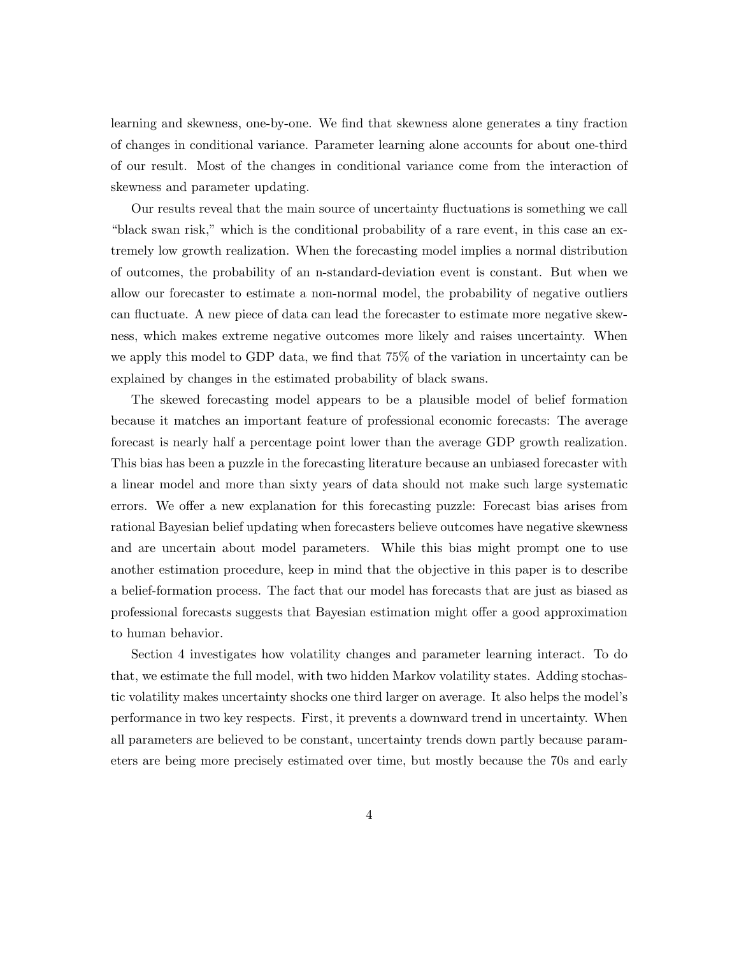learning and skewness, one-by-one. We find that skewness alone generates a tiny fraction of changes in conditional variance. Parameter learning alone accounts for about one-third of our result. Most of the changes in conditional variance come from the interaction of skewness and parameter updating.

Our results reveal that the main source of uncertainty fluctuations is something we call "black swan risk," which is the conditional probability of a rare event, in this case an extremely low growth realization. When the forecasting model implies a normal distribution of outcomes, the probability of an n-standard-deviation event is constant. But when we allow our forecaster to estimate a non-normal model, the probability of negative outliers can fluctuate. A new piece of data can lead the forecaster to estimate more negative skewness, which makes extreme negative outcomes more likely and raises uncertainty. When we apply this model to GDP data, we find that 75% of the variation in uncertainty can be explained by changes in the estimated probability of black swans.

The skewed forecasting model appears to be a plausible model of belief formation because it matches an important feature of professional economic forecasts: The average forecast is nearly half a percentage point lower than the average GDP growth realization. This bias has been a puzzle in the forecasting literature because an unbiased forecaster with a linear model and more than sixty years of data should not make such large systematic errors. We offer a new explanation for this forecasting puzzle: Forecast bias arises from rational Bayesian belief updating when forecasters believe outcomes have negative skewness and are uncertain about model parameters. While this bias might prompt one to use another estimation procedure, keep in mind that the objective in this paper is to describe a belief-formation process. The fact that our model has forecasts that are just as biased as professional forecasts suggests that Bayesian estimation might offer a good approximation to human behavior.

Section 4 investigates how volatility changes and parameter learning interact. To do that, we estimate the full model, with two hidden Markov volatility states. Adding stochastic volatility makes uncertainty shocks one third larger on average. It also helps the model's performance in two key respects. First, it prevents a downward trend in uncertainty. When all parameters are believed to be constant, uncertainty trends down partly because parameters are being more precisely estimated over time, but mostly because the 70s and early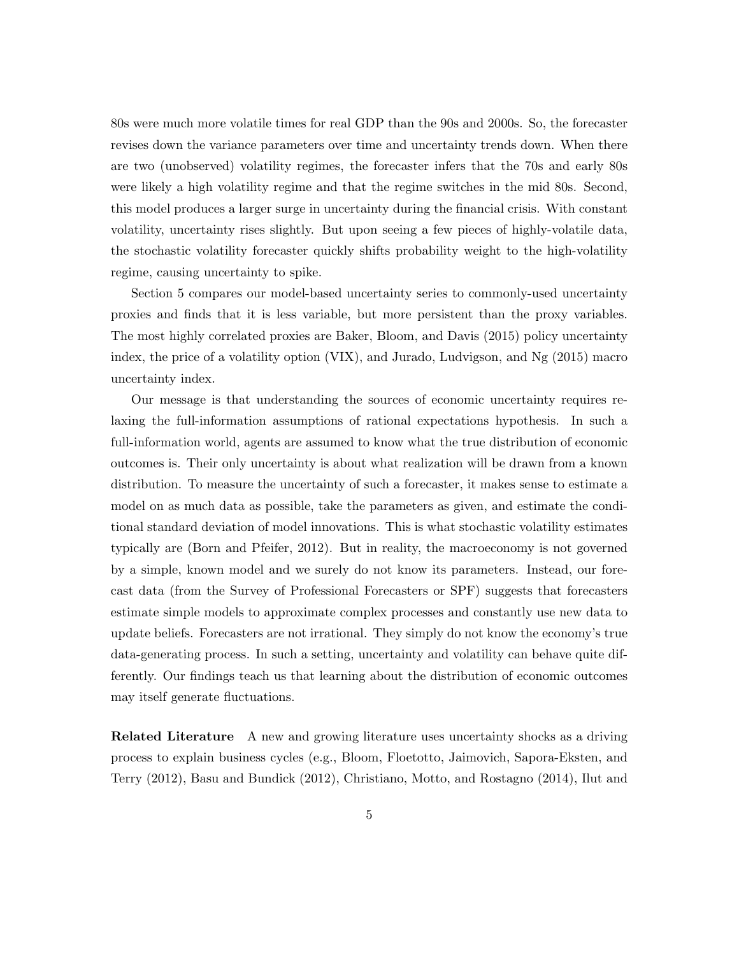80s were much more volatile times for real GDP than the 90s and 2000s. So, the forecaster revises down the variance parameters over time and uncertainty trends down. When there are two (unobserved) volatility regimes, the forecaster infers that the 70s and early 80s were likely a high volatility regime and that the regime switches in the mid 80s. Second, this model produces a larger surge in uncertainty during the financial crisis. With constant volatility, uncertainty rises slightly. But upon seeing a few pieces of highly-volatile data, the stochastic volatility forecaster quickly shifts probability weight to the high-volatility regime, causing uncertainty to spike.

Section 5 compares our model-based uncertainty series to commonly-used uncertainty proxies and finds that it is less variable, but more persistent than the proxy variables. The most highly correlated proxies are Baker, Bloom, and Davis (2015) policy uncertainty index, the price of a volatility option (VIX), and Jurado, Ludvigson, and Ng (2015) macro uncertainty index.

Our message is that understanding the sources of economic uncertainty requires relaxing the full-information assumptions of rational expectations hypothesis. In such a full-information world, agents are assumed to know what the true distribution of economic outcomes is. Their only uncertainty is about what realization will be drawn from a known distribution. To measure the uncertainty of such a forecaster, it makes sense to estimate a model on as much data as possible, take the parameters as given, and estimate the conditional standard deviation of model innovations. This is what stochastic volatility estimates typically are (Born and Pfeifer, 2012). But in reality, the macroeconomy is not governed by a simple, known model and we surely do not know its parameters. Instead, our forecast data (from the Survey of Professional Forecasters or SPF) suggests that forecasters estimate simple models to approximate complex processes and constantly use new data to update beliefs. Forecasters are not irrational. They simply do not know the economy's true data-generating process. In such a setting, uncertainty and volatility can behave quite differently. Our findings teach us that learning about the distribution of economic outcomes may itself generate fluctuations.

Related Literature A new and growing literature uses uncertainty shocks as a driving process to explain business cycles (e.g., Bloom, Floetotto, Jaimovich, Sapora-Eksten, and Terry (2012), Basu and Bundick (2012), Christiano, Motto, and Rostagno (2014), Ilut and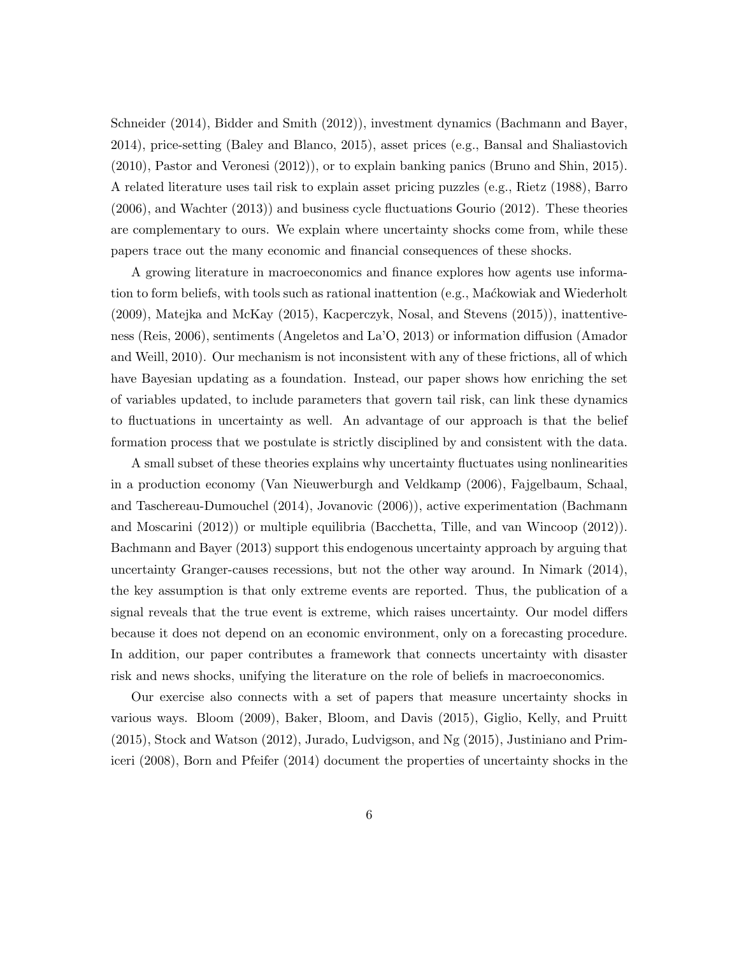Schneider (2014), Bidder and Smith (2012)), investment dynamics (Bachmann and Bayer, 2014), price-setting (Baley and Blanco, 2015), asset prices (e.g., Bansal and Shaliastovich (2010), Pastor and Veronesi (2012)), or to explain banking panics (Bruno and Shin, 2015). A related literature uses tail risk to explain asset pricing puzzles (e.g., Rietz (1988), Barro (2006), and Wachter (2013)) and business cycle fluctuations Gourio (2012). These theories are complementary to ours. We explain where uncertainty shocks come from, while these papers trace out the many economic and financial consequences of these shocks.

A growing literature in macroeconomics and finance explores how agents use information to form beliefs, with tools such as rational inattention (e.g., Mackowiak and Wiederholt (2009), Matejka and McKay (2015), Kacperczyk, Nosal, and Stevens (2015)), inattentiveness (Reis, 2006), sentiments (Angeletos and La'O, 2013) or information diffusion (Amador and Weill, 2010). Our mechanism is not inconsistent with any of these frictions, all of which have Bayesian updating as a foundation. Instead, our paper shows how enriching the set of variables updated, to include parameters that govern tail risk, can link these dynamics to fluctuations in uncertainty as well. An advantage of our approach is that the belief formation process that we postulate is strictly disciplined by and consistent with the data.

A small subset of these theories explains why uncertainty fluctuates using nonlinearities in a production economy (Van Nieuwerburgh and Veldkamp (2006), Fajgelbaum, Schaal, and Taschereau-Dumouchel (2014), Jovanovic (2006)), active experimentation (Bachmann and Moscarini (2012)) or multiple equilibria (Bacchetta, Tille, and van Wincoop (2012)). Bachmann and Bayer (2013) support this endogenous uncertainty approach by arguing that uncertainty Granger-causes recessions, but not the other way around. In Nimark (2014), the key assumption is that only extreme events are reported. Thus, the publication of a signal reveals that the true event is extreme, which raises uncertainty. Our model differs because it does not depend on an economic environment, only on a forecasting procedure. In addition, our paper contributes a framework that connects uncertainty with disaster risk and news shocks, unifying the literature on the role of beliefs in macroeconomics.

Our exercise also connects with a set of papers that measure uncertainty shocks in various ways. Bloom (2009), Baker, Bloom, and Davis (2015), Giglio, Kelly, and Pruitt (2015), Stock and Watson (2012), Jurado, Ludvigson, and Ng (2015), Justiniano and Primiceri (2008), Born and Pfeifer (2014) document the properties of uncertainty shocks in the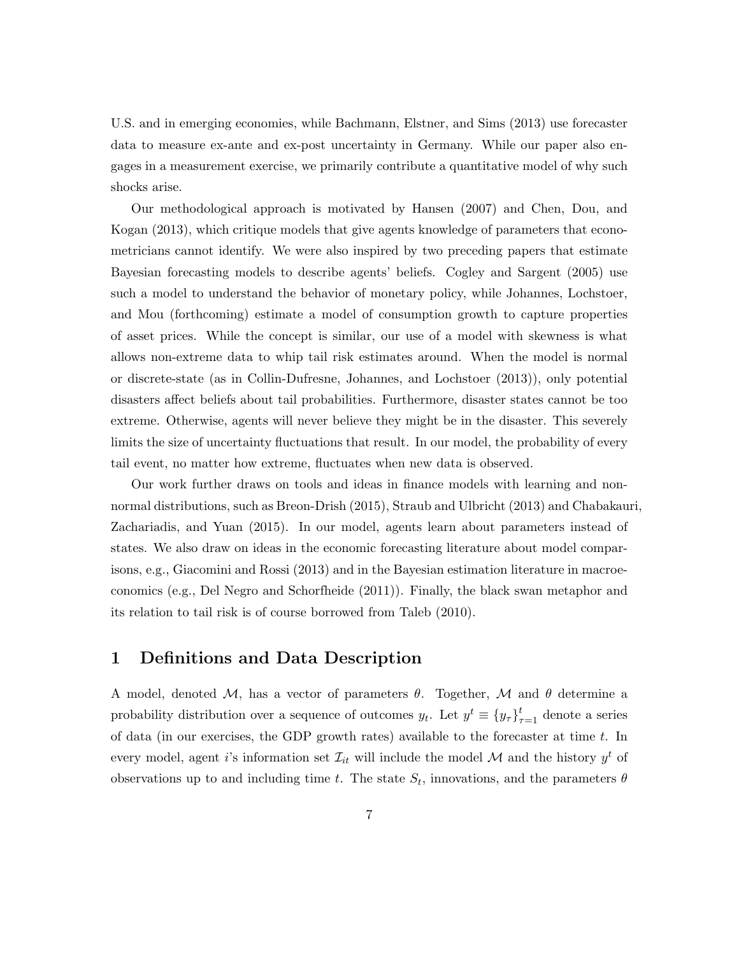U.S. and in emerging economies, while Bachmann, Elstner, and Sims (2013) use forecaster data to measure ex-ante and ex-post uncertainty in Germany. While our paper also engages in a measurement exercise, we primarily contribute a quantitative model of why such shocks arise.

Our methodological approach is motivated by Hansen (2007) and Chen, Dou, and Kogan (2013), which critique models that give agents knowledge of parameters that econometricians cannot identify. We were also inspired by two preceding papers that estimate Bayesian forecasting models to describe agents' beliefs. Cogley and Sargent (2005) use such a model to understand the behavior of monetary policy, while Johannes, Lochstoer, and Mou (forthcoming) estimate a model of consumption growth to capture properties of asset prices. While the concept is similar, our use of a model with skewness is what allows non-extreme data to whip tail risk estimates around. When the model is normal or discrete-state (as in Collin-Dufresne, Johannes, and Lochstoer (2013)), only potential disasters affect beliefs about tail probabilities. Furthermore, disaster states cannot be too extreme. Otherwise, agents will never believe they might be in the disaster. This severely limits the size of uncertainty fluctuations that result. In our model, the probability of every tail event, no matter how extreme, fluctuates when new data is observed.

Our work further draws on tools and ideas in finance models with learning and nonnormal distributions, such as Breon-Drish (2015), Straub and Ulbricht (2013) and Chabakauri, Zachariadis, and Yuan (2015). In our model, agents learn about parameters instead of states. We also draw on ideas in the economic forecasting literature about model comparisons, e.g., Giacomini and Rossi (2013) and in the Bayesian estimation literature in macroeconomics (e.g., Del Negro and Schorfheide (2011)). Finally, the black swan metaphor and its relation to tail risk is of course borrowed from Taleb (2010).

## 1 Definitions and Data Description

A model, denoted M, has a vector of parameters  $\theta$ . Together, M and  $\theta$  determine a probability distribution over a sequence of outcomes  $y_t$ . Let  $y^t \equiv \{y_\tau\}_{\tau=1}^t$  denote a series of data (in our exercises, the GDP growth rates) available to the forecaster at time t. In every model, agent *i*'s information set  $\mathcal{I}_{it}$  will include the model  $\mathcal{M}$  and the history  $y^{t}$  of observations up to and including time t. The state  $S_t$ , innovations, and the parameters  $\theta$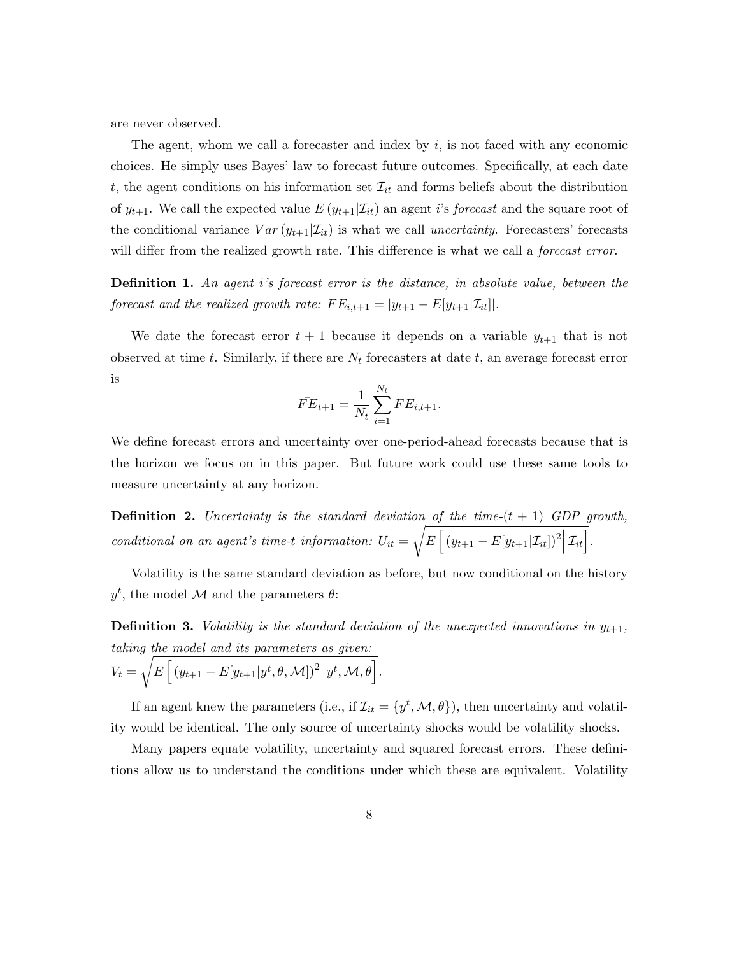are never observed.

The agent, whom we call a forecaster and index by  $i$ , is not faced with any economic choices. He simply uses Bayes' law to forecast future outcomes. Specifically, at each date t, the agent conditions on his information set  $\mathcal{I}_{it}$  and forms beliefs about the distribution of  $y_{t+1}$ . We call the expected value  $E(y_{t+1}|\mathcal{I}_{it})$  an agent i's forecast and the square root of the conditional variance  $Var(y_{t+1}|\mathcal{I}_{it})$  is what we call uncertainty. Forecasters' forecasts will differ from the realized growth rate. This difference is what we call a *forecast error*.

**Definition 1.** An agent i's forecast error is the distance, in absolute value, between the forecast and the realized growth rate:  $FE_{i,t+1} = |y_{t+1} - E[y_{t+1}|\mathcal{I}_{it}]|$ .

We date the forecast error  $t + 1$  because it depends on a variable  $y_{t+1}$  that is not observed at time t. Similarly, if there are  $N_t$  forecasters at date t, an average forecast error is

$$
\bar{FE}_{t+1} = \frac{1}{N_t} \sum_{i=1}^{N_t} FE_{i,t+1}.
$$

We define forecast errors and uncertainty over one-period-ahead forecasts because that is the horizon we focus on in this paper. But future work could use these same tools to measure uncertainty at any horizon.

**Definition 2.** Uncertainty is the standard deviation of the time- $(t + 1)$  GDP growth, conditional on an agent's time-t information:  $U_{it} =$ <sup>1</sup>  $E\left[ (y_{t+1} - E[y_{t+1}|\mathcal{I}_{it}])^2 | \mathcal{I}_{it} \right].$ 

Volatility is the same standard deviation as before, but now conditional on the history  $y<sup>t</sup>$ , the model M and the parameters  $\theta$ :

**Definition 3.** Volatility is the standard deviation of the unexpected innovations in  $y_{t+1}$ , taking the model and its parameters as given:

$$
V_t = \sqrt{E\left[ (y_{t+1} - E[y_{t+1} | y^t, \theta, \mathcal{M}])^2 | y^t, \mathcal{M}, \theta \right]}.
$$

If an agent knew the parameters (i.e., if  $\mathcal{I}_{it} = \{y^t, \mathcal{M}, \theta\}$ ), then uncertainty and volatility would be identical. The only source of uncertainty shocks would be volatility shocks.

Many papers equate volatility, uncertainty and squared forecast errors. These definitions allow us to understand the conditions under which these are equivalent. Volatility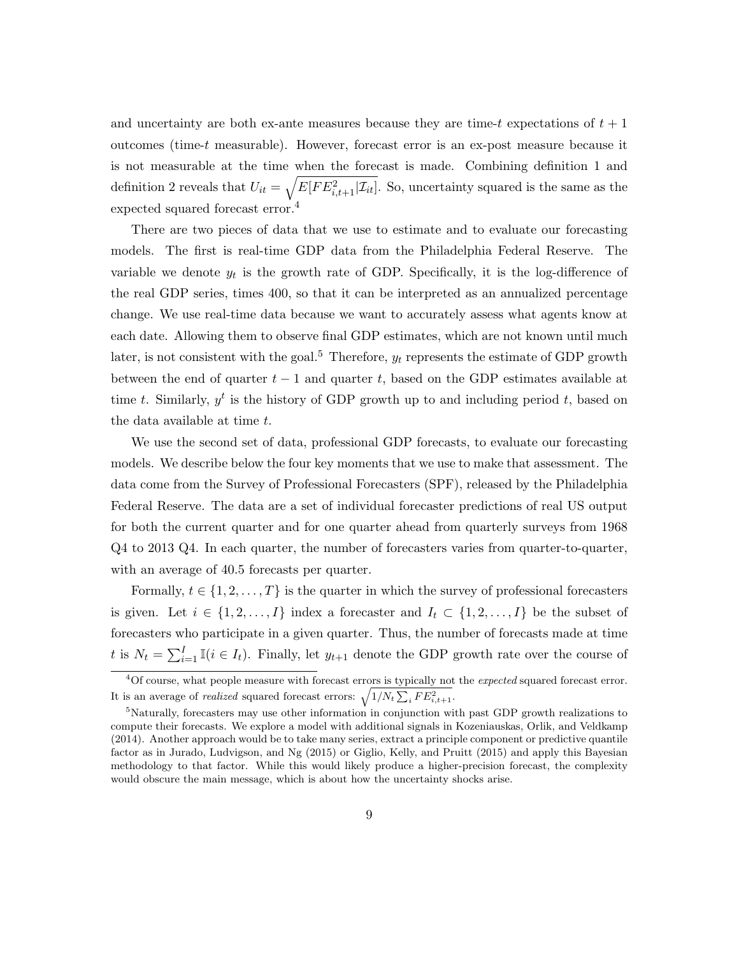and uncertainty are both ex-ante measures because they are time-t expectations of  $t + 1$ outcomes (time-t measurable). However, forecast error is an ex-post measure because it is not measurable at the time when the forecast is made. Combining definition 1 and definition 2 reveals that  $U_{it} = \sqrt{E[FE_{i,t+1}^2|\mathcal{I}_{it}]}$ . So, uncertainty squared is the same as the expected squared forecast error.<sup>4</sup>

There are two pieces of data that we use to estimate and to evaluate our forecasting models. The first is real-time GDP data from the Philadelphia Federal Reserve. The variable we denote  $y_t$  is the growth rate of GDP. Specifically, it is the log-difference of the real GDP series, times 400, so that it can be interpreted as an annualized percentage change. We use real-time data because we want to accurately assess what agents know at each date. Allowing them to observe final GDP estimates, which are not known until much later, is not consistent with the goal.<sup>5</sup> Therefore,  $y_t$  represents the estimate of GDP growth between the end of quarter  $t - 1$  and quarter t, based on the GDP estimates available at time t. Similarly,  $y^t$  is the history of GDP growth up to and including period t, based on the data available at time  $t$ .

We use the second set of data, professional GDP forecasts, to evaluate our forecasting models. We describe below the four key moments that we use to make that assessment. The data come from the Survey of Professional Forecasters (SPF), released by the Philadelphia Federal Reserve. The data are a set of individual forecaster predictions of real US output for both the current quarter and for one quarter ahead from quarterly surveys from 1968 Q4 to 2013 Q4. In each quarter, the number of forecasters varies from quarter-to-quarter, with an average of 40.5 forecasts per quarter.

Formally,  $t \in \{1, 2, ..., T\}$  is the quarter in which the survey of professional forecasters is given. Let  $i \in \{1, 2, ..., I\}$  index a forecaster and  $I_t \subset \{1, 2, ..., I\}$  be the subset of forecasters who participate in a given quarter. Thus, the number of forecasts made at time t is  $N_t = \sum_{i=1}^I \mathbb{I}(i \in I_t)$ . Finally, let  $y_{t+1}$  denote the GDP growth rate over the course of

<sup>&</sup>lt;sup>4</sup>Of course, what people measure with forecast errors is typically not the *expected* squared forecast error. It is an average of *realized* squared forecast errors:  $\sqrt{1/N_t \sum_i FE_{i,t+1}^2}$ .

<sup>5</sup>Naturally, forecasters may use other information in conjunction with past GDP growth realizations to compute their forecasts. We explore a model with additional signals in Kozeniauskas, Orlik, and Veldkamp (2014). Another approach would be to take many series, extract a principle component or predictive quantile factor as in Jurado, Ludvigson, and Ng (2015) or Giglio, Kelly, and Pruitt (2015) and apply this Bayesian methodology to that factor. While this would likely produce a higher-precision forecast, the complexity would obscure the main message, which is about how the uncertainty shocks arise.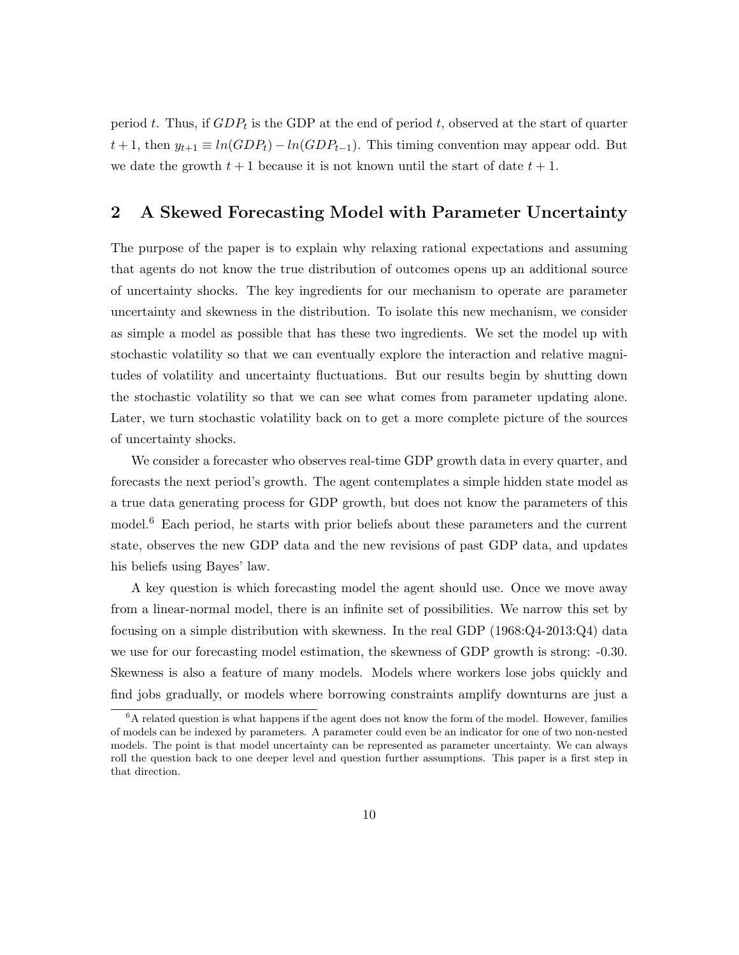period t. Thus, if  $GDP_t$  is the GDP at the end of period t, observed at the start of quarter  $t + 1$ , then  $y_{t+1} \equiv ln(GDP_t) - ln(GDP_{t-1})$ . This timing convention may appear odd. But we date the growth  $t + 1$  because it is not known until the start of date  $t + 1$ .

# 2 A Skewed Forecasting Model with Parameter Uncertainty

The purpose of the paper is to explain why relaxing rational expectations and assuming that agents do not know the true distribution of outcomes opens up an additional source of uncertainty shocks. The key ingredients for our mechanism to operate are parameter uncertainty and skewness in the distribution. To isolate this new mechanism, we consider as simple a model as possible that has these two ingredients. We set the model up with stochastic volatility so that we can eventually explore the interaction and relative magnitudes of volatility and uncertainty fluctuations. But our results begin by shutting down the stochastic volatility so that we can see what comes from parameter updating alone. Later, we turn stochastic volatility back on to get a more complete picture of the sources of uncertainty shocks.

We consider a forecaster who observes real-time GDP growth data in every quarter, and forecasts the next period's growth. The agent contemplates a simple hidden state model as a true data generating process for GDP growth, but does not know the parameters of this model.<sup>6</sup> Each period, he starts with prior beliefs about these parameters and the current state, observes the new GDP data and the new revisions of past GDP data, and updates his beliefs using Bayes' law.

A key question is which forecasting model the agent should use. Once we move away from a linear-normal model, there is an infinite set of possibilities. We narrow this set by focusing on a simple distribution with skewness. In the real GDP (1968:Q4-2013:Q4) data we use for our forecasting model estimation, the skewness of GDP growth is strong: -0.30. Skewness is also a feature of many models. Models where workers lose jobs quickly and find jobs gradually, or models where borrowing constraints amplify downturns are just a

 ${}^{6}$ A related question is what happens if the agent does not know the form of the model. However, families of models can be indexed by parameters. A parameter could even be an indicator for one of two non-nested models. The point is that model uncertainty can be represented as parameter uncertainty. We can always roll the question back to one deeper level and question further assumptions. This paper is a first step in that direction.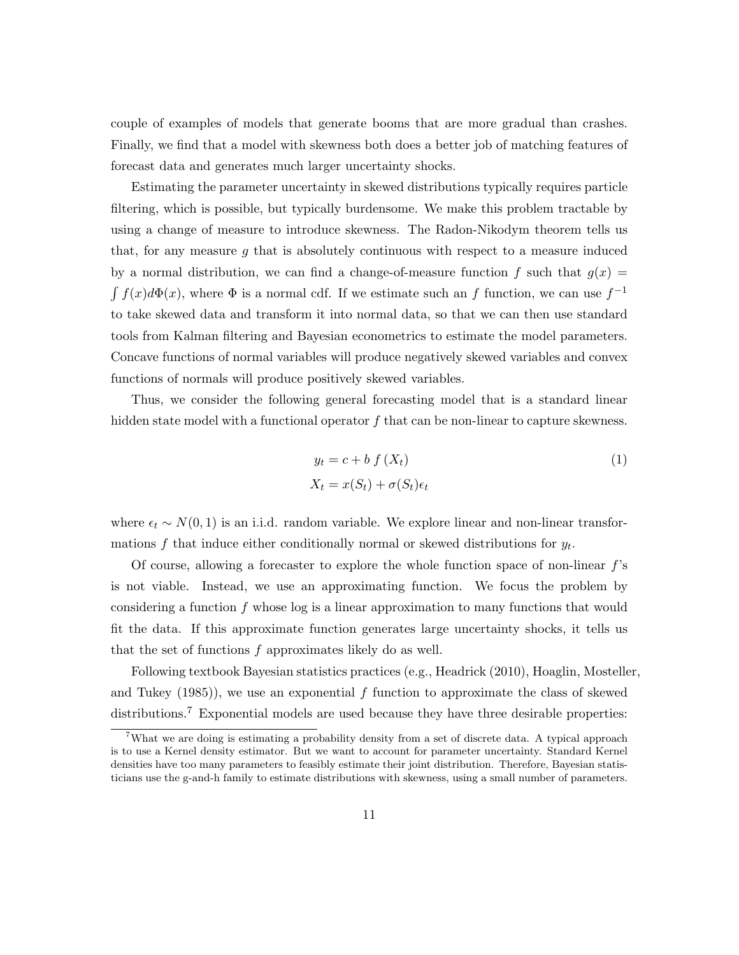couple of examples of models that generate booms that are more gradual than crashes. Finally, we find that a model with skewness both does a better job of matching features of forecast data and generates much larger uncertainty shocks.

Estimating the parameter uncertainty in skewed distributions typically requires particle filtering, which is possible, but typically burdensome. We make this problem tractable by using a change of measure to introduce skewness. The Radon-Nikodym theorem tells us that, for any measure  $g$  that is absolutely continuous with respect to a measure induced by a normal distribution, we can find a change-of-measure function f such that  $g(x)$  =  $\int f(x)d\Phi(x)$ , where  $\Phi$  is a normal cdf. If we estimate such an f function, we can use  $f^{-1}$ to take skewed data and transform it into normal data, so that we can then use standard tools from Kalman filtering and Bayesian econometrics to estimate the model parameters. Concave functions of normal variables will produce negatively skewed variables and convex functions of normals will produce positively skewed variables.

Thus, we consider the following general forecasting model that is a standard linear hidden state model with a functional operator  $f$  that can be non-linear to capture skewness.

$$
y_t = c + b f(X_t)
$$
  

$$
X_t = x(S_t) + \sigma(S_t)\epsilon_t
$$
 (1)

where  $\epsilon_t \sim N(0, 1)$  is an i.i.d. random variable. We explore linear and non-linear transformations  $f$  that induce either conditionally normal or skewed distributions for  $y_t$ .

Of course, allowing a forecaster to explore the whole function space of non-linear  $f$ 's is not viable. Instead, we use an approximating function. We focus the problem by considering a function f whose log is a linear approximation to many functions that would fit the data. If this approximate function generates large uncertainty shocks, it tells us that the set of functions  $f$  approximates likely do as well.

Following textbook Bayesian statistics practices (e.g., Headrick (2010), Hoaglin, Mosteller, and Tukey  $(1985)$ , we use an exponential f function to approximate the class of skewed distributions.<sup>7</sup> Exponential models are used because they have three desirable properties:

<sup>&</sup>lt;sup>7</sup>What we are doing is estimating a probability density from a set of discrete data. A typical approach is to use a Kernel density estimator. But we want to account for parameter uncertainty. Standard Kernel densities have too many parameters to feasibly estimate their joint distribution. Therefore, Bayesian statisticians use the g-and-h family to estimate distributions with skewness, using a small number of parameters.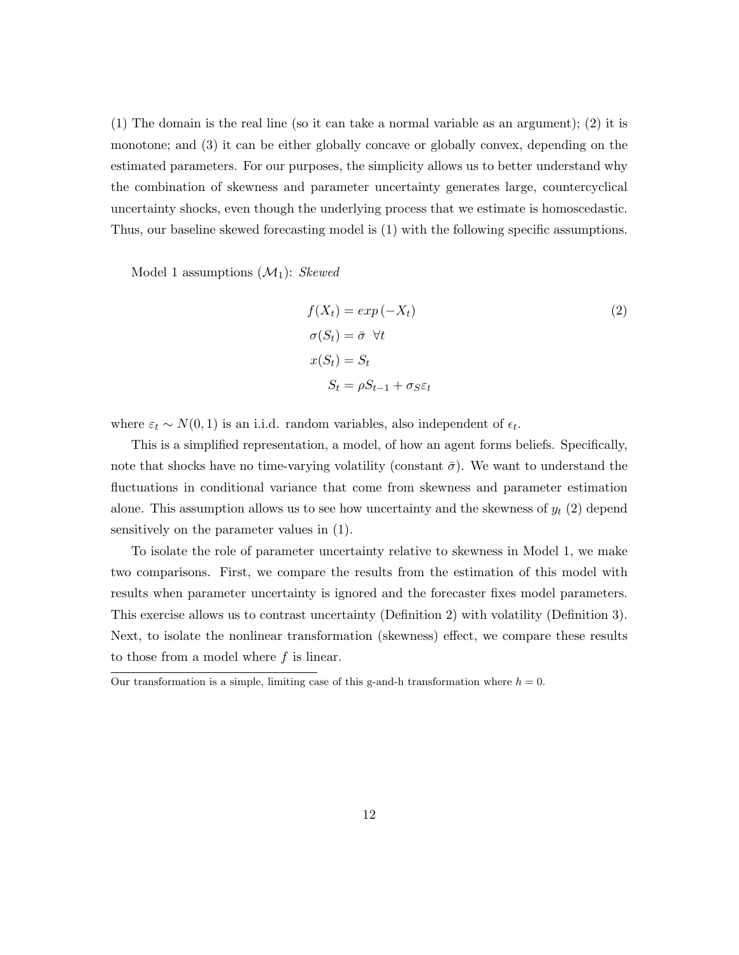$(1)$  The domain is the real line (so it can take a normal variable as an argument);  $(2)$  it is monotone; and (3) it can be either globally concave or globally convex, depending on the estimated parameters. For our purposes, the simplicity allows us to better understand why the combination of skewness and parameter uncertainty generates large, countercyclical uncertainty shocks, even though the underlying process that we estimate is homoscedastic. Thus, our baseline skewed forecasting model is (1) with the following specific assumptions.

Model 1 assumptions  $(\mathcal{M}_1)$ : Skewed

$$
f(X_t) = exp(-X_t)
$$
  
\n
$$
\sigma(S_t) = \bar{\sigma} \quad \forall t
$$
  
\n
$$
x(S_t) = S_t
$$
  
\n
$$
S_t = \rho S_{t-1} + \sigma_S \varepsilon_t
$$
\n(2)

where  $\varepsilon_t \sim N(0, 1)$  is an i.i.d. random variables, also independent of  $\epsilon_t$ .

This is a simplified representation, a model, of how an agent forms beliefs. Specifically, note that shocks have no time-varying volatility (constant  $\bar{\sigma}$ ). We want to understand the fluctuations in conditional variance that come from skewness and parameter estimation alone. This assumption allows us to see how uncertainty and the skewness of  $y_t$  (2) depend sensitively on the parameter values in (1).

To isolate the role of parameter uncertainty relative to skewness in Model 1, we make two comparisons. First, we compare the results from the estimation of this model with results when parameter uncertainty is ignored and the forecaster fixes model parameters. This exercise allows us to contrast uncertainty (Definition 2) with volatility (Definition 3). Next, to isolate the nonlinear transformation (skewness) effect, we compare these results to those from a model where  $f$  is linear.

Our transformation is a simple, limiting case of this g-and-h transformation where  $h = 0$ .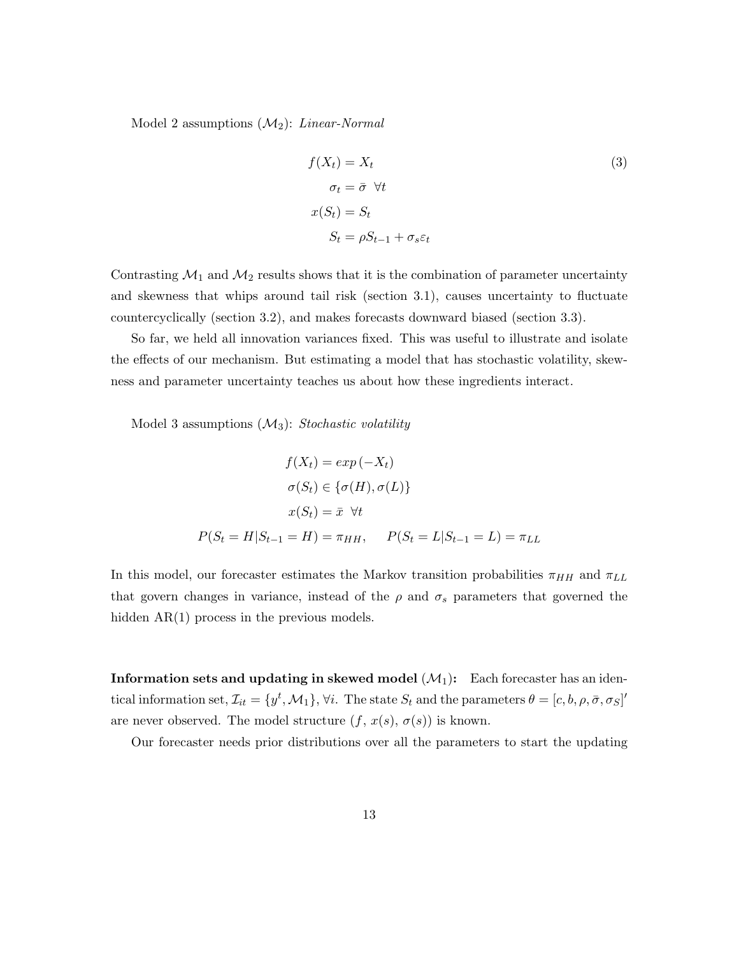Model 2 assumptions  $(\mathcal{M}_2)$ : *Linear-Normal* 

$$
f(X_t) = X_t
$$
  
\n
$$
\sigma_t = \bar{\sigma} \ \forall t
$$
  
\n
$$
x(S_t) = S_t
$$
  
\n
$$
S_t = \rho S_{t-1} + \sigma_s \varepsilon_t
$$
\n(3)

Contrasting  $\mathcal{M}_1$  and  $\mathcal{M}_2$  results shows that it is the combination of parameter uncertainty and skewness that whips around tail risk (section 3.1), causes uncertainty to fluctuate countercyclically (section 3.2), and makes forecasts downward biased (section 3.3).

So far, we held all innovation variances fixed. This was useful to illustrate and isolate the effects of our mechanism. But estimating a model that has stochastic volatility, skewness and parameter uncertainty teaches us about how these ingredients interact.

Model 3 assumptions  $(\mathcal{M}_3)$ : Stochastic volatility

$$
f(X_t) = exp(-X_t)
$$

$$
\sigma(S_t) \in \{\sigma(H), \sigma(L)\}
$$

$$
x(S_t) = \bar{x} \quad \forall t
$$

$$
P(S_t = H | S_{t-1} = H) = \pi_{HH}, \quad P(S_t = L | S_{t-1} = L) = \pi_{LL}
$$

In this model, our forecaster estimates the Markov transition probabilities  $\pi_{HH}$  and  $\pi_{LL}$ that govern changes in variance, instead of the  $\rho$  and  $\sigma_s$  parameters that governed the hidden AR(1) process in the previous models.

**Information sets and updating in skewed model**  $(\mathcal{M}_1)$ **:** Each forecaster has an identical information set,  $\mathcal{I}_{it} = \{y^t, \mathcal{M}_1\}, \forall i$ . The state  $S_t$  and the parameters  $\theta = [c, b, \rho, \bar{\sigma}, \sigma_S]$ are never observed. The model structure  $(f, x(s), \sigma(s))$  is known.

Our forecaster needs prior distributions over all the parameters to start the updating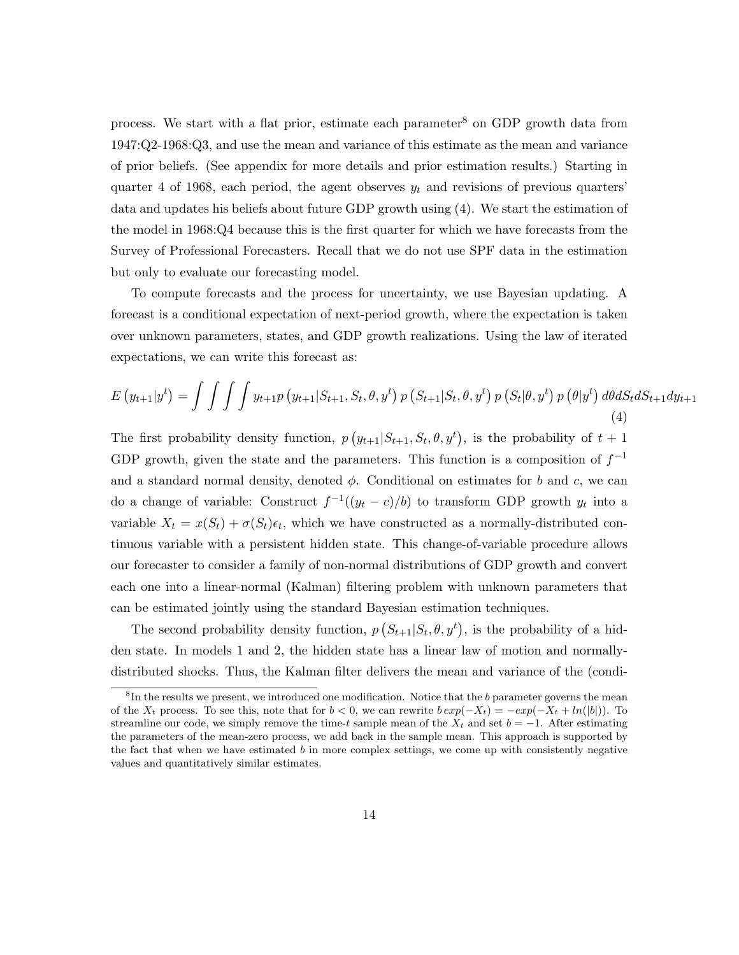process. We start with a flat prior, estimate each parameter<sup>8</sup> on GDP growth data from 1947:Q2-1968:Q3, and use the mean and variance of this estimate as the mean and variance of prior beliefs. (See appendix for more details and prior estimation results.) Starting in quarter 4 of 1968, each period, the agent observes  $y_t$  and revisions of previous quarters' data and updates his beliefs about future GDP growth using (4). We start the estimation of the model in 1968:Q4 because this is the first quarter for which we have forecasts from the Survey of Professional Forecasters. Recall that we do not use SPF data in the estimation but only to evaluate our forecasting model.

To compute forecasts and the process for uncertainty, we use Bayesian updating. A forecast is a conditional expectation of next-period growth, where the expectation is taken over unknown parameters, states, and GDP growth realizations. Using the law of iterated expectations, we can write this forecast as:

$$
E(y_{t+1}|y^{t}) = \int \int \int y_{t+1} p(y_{t+1}|S_{t+1}, S_{t}, \theta, y^{t}) p(S_{t+1}|S_{t}, \theta, y^{t}) p(S_{t}|\theta, y^{t}) p(\theta|y^{t}) d\theta dS_{t} dS_{t+1} dy_{t+1}
$$
\n(4)

The first probability density function,  $p(y_{t+1}|S_{t+1}, S_t, \theta, y^t)$ , is the probability of  $t+1$ GDP growth, given the state and the parameters. This function is a composition of  $f^{-1}$ and a standard normal density, denoted  $\phi$ . Conditional on estimates for b and c, we can do a change of variable: Construct  $f^{-1}((y_t - c)/b)$  to transform GDP growth  $y_t$  into a variable  $X_t = x(S_t) + \sigma(S_t)\epsilon_t$ , which we have constructed as a normally-distributed continuous variable with a persistent hidden state. This change-of-variable procedure allows our forecaster to consider a family of non-normal distributions of GDP growth and convert each one into a linear-normal (Kalman) filtering problem with unknown parameters that can be estimated jointly using the standard Bayesian estimation techniques.

The second probability density function,  $p(S_{t+1}|S_t, \theta, y^t)$ , is the probability of a hidden state. In models 1 and 2, the hidden state has a linear law of motion and normallydistributed shocks. Thus, the Kalman filter delivers the mean and variance of the (condi-

<sup>&</sup>lt;sup>8</sup>In the results we present, we introduced one modification. Notice that the b parameter governs the mean of the  $X_t$  process. To see this, note that for  $b < 0$ , we can rewrite  $b \exp(-X_t) = -\exp(-X_t + \ln(|b|))$ . To streamline our code, we simply remove the time-t sample mean of the  $X_t$  and set  $b = -1$ . After estimating the parameters of the mean-zero process, we add back in the sample mean. This approach is supported by the fact that when we have estimated  $b$  in more complex settings, we come up with consistently negative values and quantitatively similar estimates.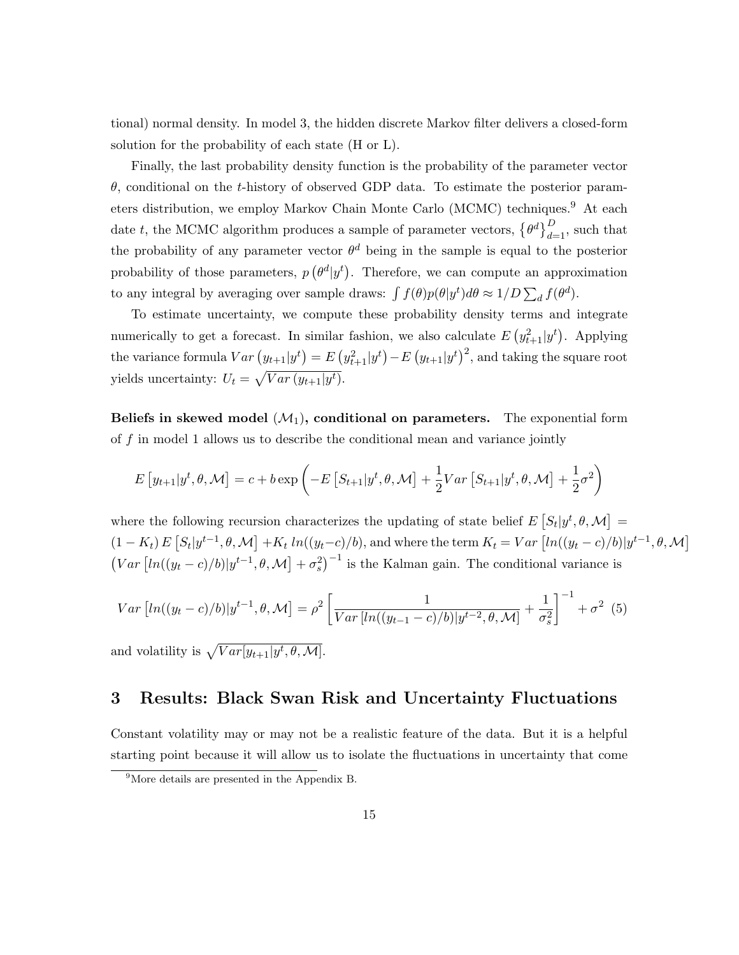tional) normal density. In model 3, the hidden discrete Markov filter delivers a closed-form solution for the probability of each state (H or L).

Finally, the last probability density function is the probability of the parameter vector θ, conditional on the t-history of observed GDP data. To estimate the posterior parameters distribution, we employ Markov Chain Monte Carlo (MCMC) techniques.<sup>9</sup> At each date t, the MCMC algorithm produces a sample of parameter vectors,  $\{\theta^d\}_{d=1}^D$ , such that the probability of any parameter vector  $\theta^d$  being in the sample is equal to the posterior probability of those parameters,  $p\left(\theta^d|y^t\right)$ . Therefore, we can compute an approximation to any integral by averaging over sample draws:  $\int f(\theta)p(\theta|y^t)d\theta \approx 1/D\sum_d f(\theta^d)$ .

To estimate uncertainty, we compute these probability density terms and integrate numerically to get a forecast. In similar fashion, we also calculate  $E(y_{t+1}^2|y^t)$ . Applying the variance formula  $Var(y_{t+1}|y^t) = E(y_{t+1}^2|y^t) - E(y_{t+1}|y^t)^2$ , and taking the square root yields uncertainty:  $U_t = \sqrt{Var(y_{t+1}|y^t)}$ .

Beliefs in skewed model  $(\mathcal{M}_1)$ , conditional on parameters. The exponential form of f in model 1 allows us to describe the conditional mean and variance jointly

$$
E[y_{t+1}|y^t, \theta, \mathcal{M}] = c + b \exp\left(-E\left[S_{t+1}|y^t, \theta, \mathcal{M}\right] + \frac{1}{2}Var\left[S_{t+1}|y^t, \theta, \mathcal{M}\right] + \frac{1}{2}\sigma^2\right)
$$

where the following recursion characterizes the updating of state belief  $E[S_t|y^t, \theta, \mathcal{M}] =$  $(1 - K_t) E[S_t | y^{t-1}, \theta, \mathcal{M}] + K_t ln((y_t - c)/b)$ , and where the term  $K_t = Var[ln((y_t - c)/b)|y^{t-1}, \theta, \mathcal{M}]$  $(Var\left[ln((y_t-c)/b)|y^{t-1}, \theta, \mathcal{M}\right] + \sigma_s^2)^{-1}$  is the Kalman gain. The conditional variance is

$$
Var\left[ln((y_t - c)/b)|y^{t-1}, \theta, \mathcal{M}\right] = \rho^2 \left[ \frac{1}{Var\left[ln((y_{t-1} - c)/b)|y^{t-2}, \theta, \mathcal{M}\right]} + \frac{1}{\sigma_s^2} \right]^{-1} + \sigma^2 \tag{5}
$$
  
and volatility is  $\sqrt{Var[y_{t+1}|y^t, \theta, \mathcal{M}]}$ .

# 3 Results: Black Swan Risk and Uncertainty Fluctuations

Constant volatility may or may not be a realistic feature of the data. But it is a helpful starting point because it will allow us to isolate the fluctuations in uncertainty that come

<sup>9</sup>More details are presented in the Appendix B.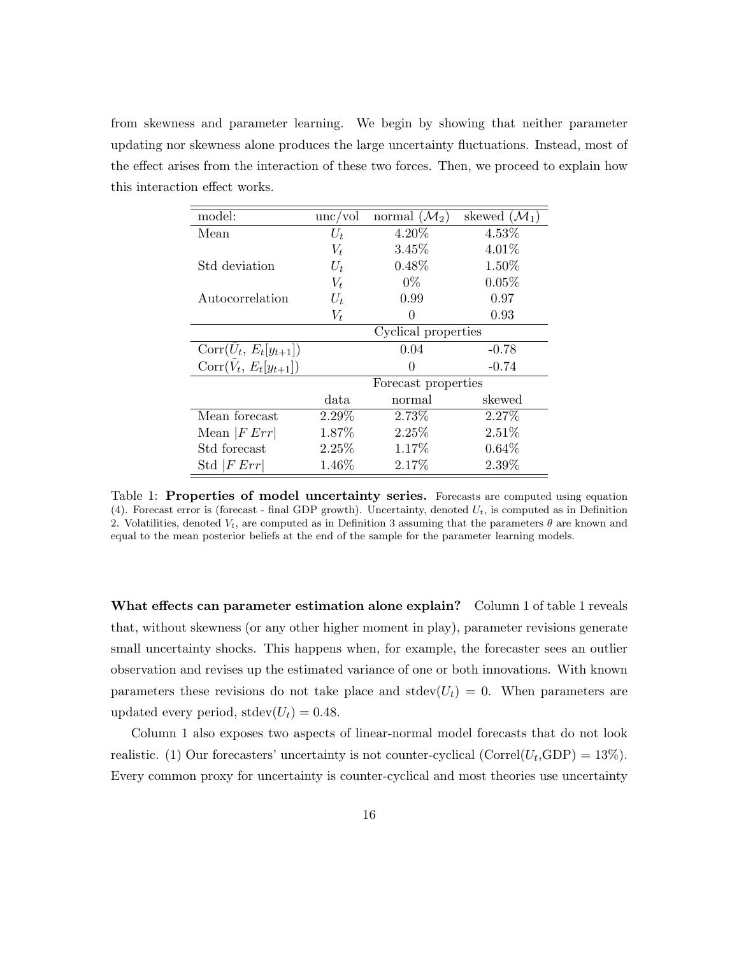from skewness and parameter learning. We begin by showing that neither parameter updating nor skewness alone produces the large uncertainty fluctuations. Instead, most of the effect arises from the interaction of these two forces. Then, we proceed to explain how this interaction effect works.

| model:                    | unc/vol             | normal $(\mathcal{M}_2)$ | skewed $(\mathcal{M}_1)$ |  |  |
|---------------------------|---------------------|--------------------------|--------------------------|--|--|
| Mean                      | $U_t$               | 4.20\%                   | 4.53%                    |  |  |
|                           | $V_t$               | 3.45%                    | 4.01%                    |  |  |
| Std deviation             | $U_t$               | $0.48\%$                 | 1.50%                    |  |  |
|                           | $V_t$               | $0\%$                    | 0.05%                    |  |  |
| Autocorrelation           | $U_t$               | 0.99                     | 0.97                     |  |  |
|                           | $V_t$               | $\theta$                 | 0.93                     |  |  |
|                           | Cyclical properties |                          |                          |  |  |
| $Corr(U_t, E_t[y_{t+1}])$ |                     | 0.04                     | $-0.78$                  |  |  |
| $Corr(V_t, E_t[y_{t+1}])$ |                     | $\Omega$                 | $-0.74$                  |  |  |
|                           | Forecast properties |                          |                          |  |  |
|                           | data.               | normal                   | skewed                   |  |  |
| Mean forecast             | 2.29%               | 2.73%                    | 2.27%                    |  |  |
| Mean $ FErr $             | 1.87%               | 2.25%                    | 2.51%                    |  |  |
| Std forecast              | 2.25%               | 1.17%                    | 0.64%                    |  |  |
| Std $ FErr $              | 1.46\%              | 2.17%                    | 2.39%                    |  |  |

Table 1: Properties of model uncertainty series. Forecasts are computed using equation (4). Forecast error is (forecast - final GDP growth). Uncertainty, denoted  $U_t$ , is computed as in Definition 2. Volatilities, denoted  $V_t$ , are computed as in Definition 3 assuming that the parameters  $\theta$  are known and equal to the mean posterior beliefs at the end of the sample for the parameter learning models.

What effects can parameter estimation alone explain? Column 1 of table 1 reveals that, without skewness (or any other higher moment in play), parameter revisions generate small uncertainty shocks. This happens when, for example, the forecaster sees an outlier observation and revises up the estimated variance of one or both innovations. With known parameters these revisions do not take place and stdev( $U_t$ ) = 0. When parameters are updated every period,  $\text{stdev}(U_t) = 0.48$ .

Column 1 also exposes two aspects of linear-normal model forecasts that do not look realistic. (1) Our forecasters' uncertainty is not counter-cyclical  $(Correl(U_t, GDP) = 13\%).$ Every common proxy for uncertainty is counter-cyclical and most theories use uncertainty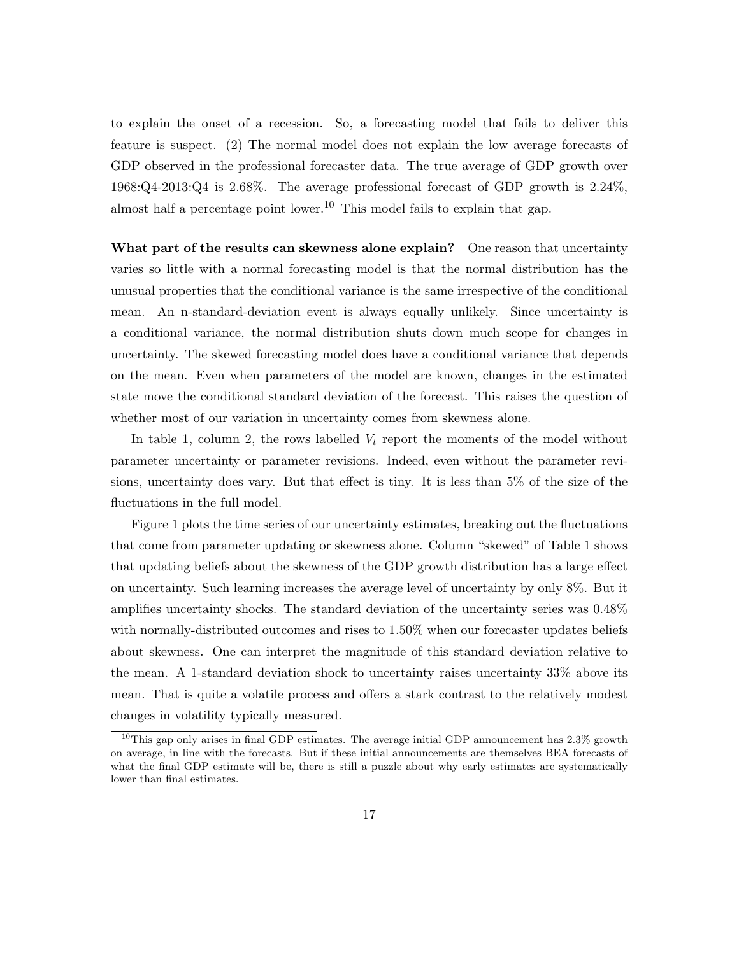to explain the onset of a recession. So, a forecasting model that fails to deliver this feature is suspect. (2) The normal model does not explain the low average forecasts of GDP observed in the professional forecaster data. The true average of GDP growth over 1968:Q4-2013:Q4 is 2.68%. The average professional forecast of GDP growth is 2.24%, almost half a percentage point lower.<sup>10</sup> This model fails to explain that gap.

What part of the results can skewness alone explain? One reason that uncertainty varies so little with a normal forecasting model is that the normal distribution has the unusual properties that the conditional variance is the same irrespective of the conditional mean. An n-standard-deviation event is always equally unlikely. Since uncertainty is a conditional variance, the normal distribution shuts down much scope for changes in uncertainty. The skewed forecasting model does have a conditional variance that depends on the mean. Even when parameters of the model are known, changes in the estimated state move the conditional standard deviation of the forecast. This raises the question of whether most of our variation in uncertainty comes from skewness alone.

In table 1, column 2, the rows labelled  $V_t$  report the moments of the model without parameter uncertainty or parameter revisions. Indeed, even without the parameter revisions, uncertainty does vary. But that effect is tiny. It is less than 5% of the size of the fluctuations in the full model.

Figure 1 plots the time series of our uncertainty estimates, breaking out the fluctuations that come from parameter updating or skewness alone. Column "skewed" of Table 1 shows that updating beliefs about the skewness of the GDP growth distribution has a large effect on uncertainty. Such learning increases the average level of uncertainty by only 8%. But it amplifies uncertainty shocks. The standard deviation of the uncertainty series was 0.48% with normally-distributed outcomes and rises to 1.50% when our forecaster updates beliefs about skewness. One can interpret the magnitude of this standard deviation relative to the mean. A 1-standard deviation shock to uncertainty raises uncertainty 33% above its mean. That is quite a volatile process and offers a stark contrast to the relatively modest changes in volatility typically measured.

 $10$ This gap only arises in final GDP estimates. The average initial GDP announcement has  $2.3\%$  growth on average, in line with the forecasts. But if these initial announcements are themselves BEA forecasts of what the final GDP estimate will be, there is still a puzzle about why early estimates are systematically lower than final estimates.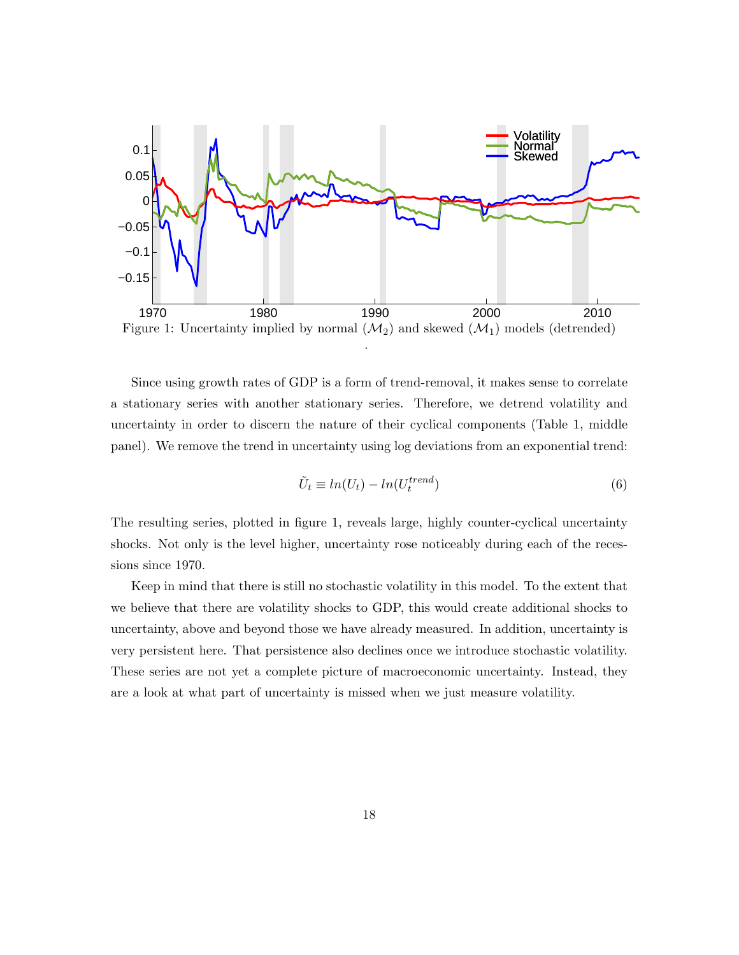

Figure 1: Uncertainty implied by normal  $(\mathcal{M}_2)$  and skewed  $(\mathcal{M}_1)$  models (detrended) .

Since using growth rates of GDP is a form of trend-removal, it makes sense to correlate a stationary series with another stationary series. Therefore, we detrend volatility and uncertainty in order to discern the nature of their cyclical components (Table 1, middle panel). We remove the trend in uncertainty using log deviations from an exponential trend:

$$
\tilde{U}_t \equiv ln(U_t) - ln(U_t^{trend})
$$
\n(6)

The resulting series, plotted in figure 1, reveals large, highly counter-cyclical uncertainty shocks. Not only is the level higher, uncertainty rose noticeably during each of the recessions since 1970.

Keep in mind that there is still no stochastic volatility in this model. To the extent that we believe that there are volatility shocks to GDP, this would create additional shocks to uncertainty, above and beyond those we have already measured. In addition, uncertainty is very persistent here. That persistence also declines once we introduce stochastic volatility. These series are not yet a complete picture of macroeconomic uncertainty. Instead, they are a look at what part of uncertainty is missed when we just measure volatility.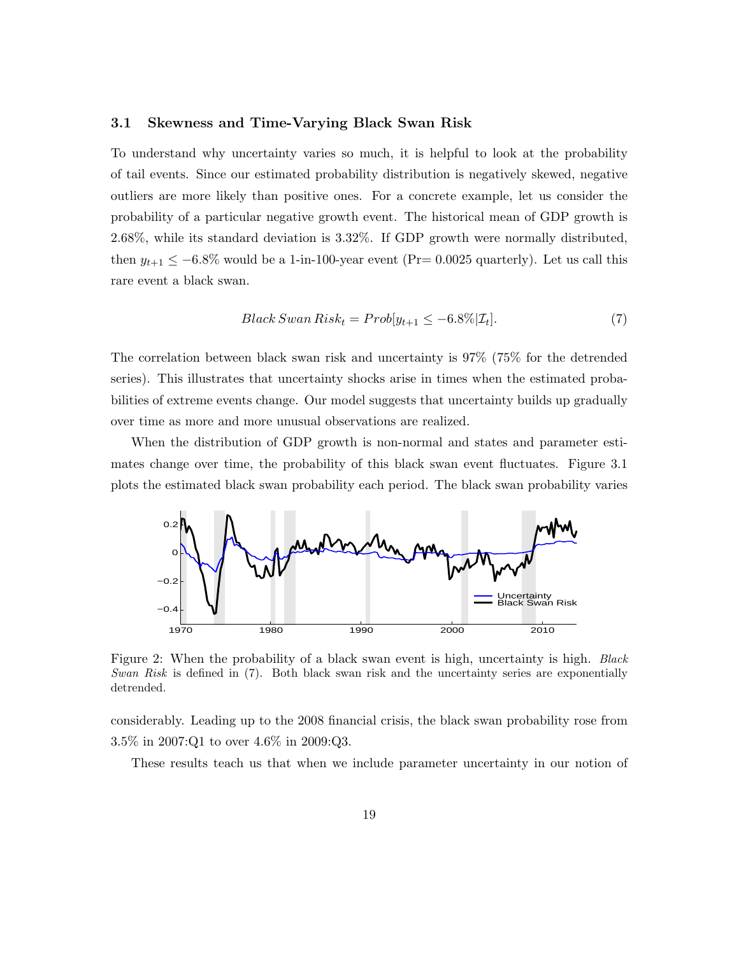#### 3.1 Skewness and Time-Varying Black Swan Risk

To understand why uncertainty varies so much, it is helpful to look at the probability of tail events. Since our estimated probability distribution is negatively skewed, negative outliers are more likely than positive ones. For a concrete example, let us consider the probability of a particular negative growth event. The historical mean of GDP growth is 2.68%, while its standard deviation is 3.32%. If GDP growth were normally distributed, then  $y_{t+1} \le -6.8\%$  would be a 1-in-100-year event (Pr= 0.0025 quarterly). Let us call this rare event a black swan.

$$
Black \, Swan \, Risk_t = Prob[y_{t+1} \le -6.8\%|\mathcal{I}_t]. \tag{7}
$$

The correlation between black swan risk and uncertainty is 97% (75% for the detrended series). This illustrates that uncertainty shocks arise in times when the estimated probabilities of extreme events change. Our model suggests that uncertainty builds up gradually over time as more and more unusual observations are realized.

When the distribution of GDP growth is non-normal and states and parameter estimates change over time, the probability of this black swan event fluctuates. Figure 3.1 plots the estimated black swan probability each period. The black swan probability varies



Figure 2: When the probability of a black swan event is high, uncertainty is high. *Black* Swan Risk is defined in  $(7)$ . Both black swan risk and the uncertainty series are exponentially detrended.

considerably. Leading up to the 2008 financial crisis, the black swan probability rose from 3.5% in 2007:Q1 to over 4.6% in 2009:Q3.

These results teach us that when we include parameter uncertainty in our notion of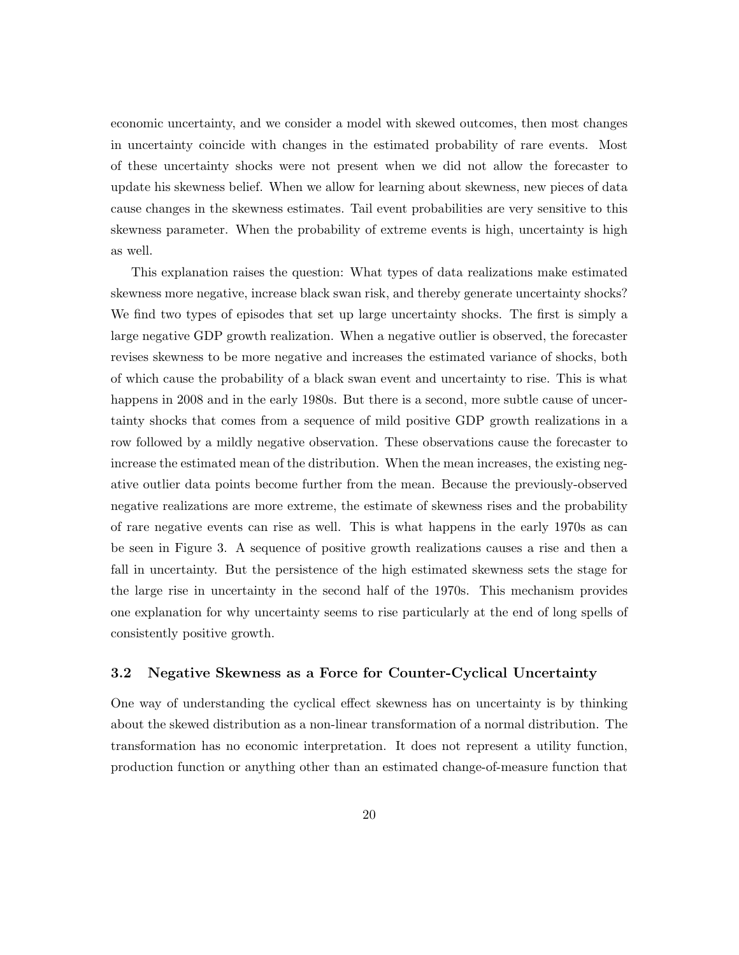economic uncertainty, and we consider a model with skewed outcomes, then most changes in uncertainty coincide with changes in the estimated probability of rare events. Most of these uncertainty shocks were not present when we did not allow the forecaster to update his skewness belief. When we allow for learning about skewness, new pieces of data cause changes in the skewness estimates. Tail event probabilities are very sensitive to this skewness parameter. When the probability of extreme events is high, uncertainty is high as well.

This explanation raises the question: What types of data realizations make estimated skewness more negative, increase black swan risk, and thereby generate uncertainty shocks? We find two types of episodes that set up large uncertainty shocks. The first is simply a large negative GDP growth realization. When a negative outlier is observed, the forecaster revises skewness to be more negative and increases the estimated variance of shocks, both of which cause the probability of a black swan event and uncertainty to rise. This is what happens in 2008 and in the early 1980s. But there is a second, more subtle cause of uncertainty shocks that comes from a sequence of mild positive GDP growth realizations in a row followed by a mildly negative observation. These observations cause the forecaster to increase the estimated mean of the distribution. When the mean increases, the existing negative outlier data points become further from the mean. Because the previously-observed negative realizations are more extreme, the estimate of skewness rises and the probability of rare negative events can rise as well. This is what happens in the early 1970s as can be seen in Figure 3. A sequence of positive growth realizations causes a rise and then a fall in uncertainty. But the persistence of the high estimated skewness sets the stage for the large rise in uncertainty in the second half of the 1970s. This mechanism provides one explanation for why uncertainty seems to rise particularly at the end of long spells of consistently positive growth.

#### 3.2 Negative Skewness as a Force for Counter-Cyclical Uncertainty

One way of understanding the cyclical effect skewness has on uncertainty is by thinking about the skewed distribution as a non-linear transformation of a normal distribution. The transformation has no economic interpretation. It does not represent a utility function, production function or anything other than an estimated change-of-measure function that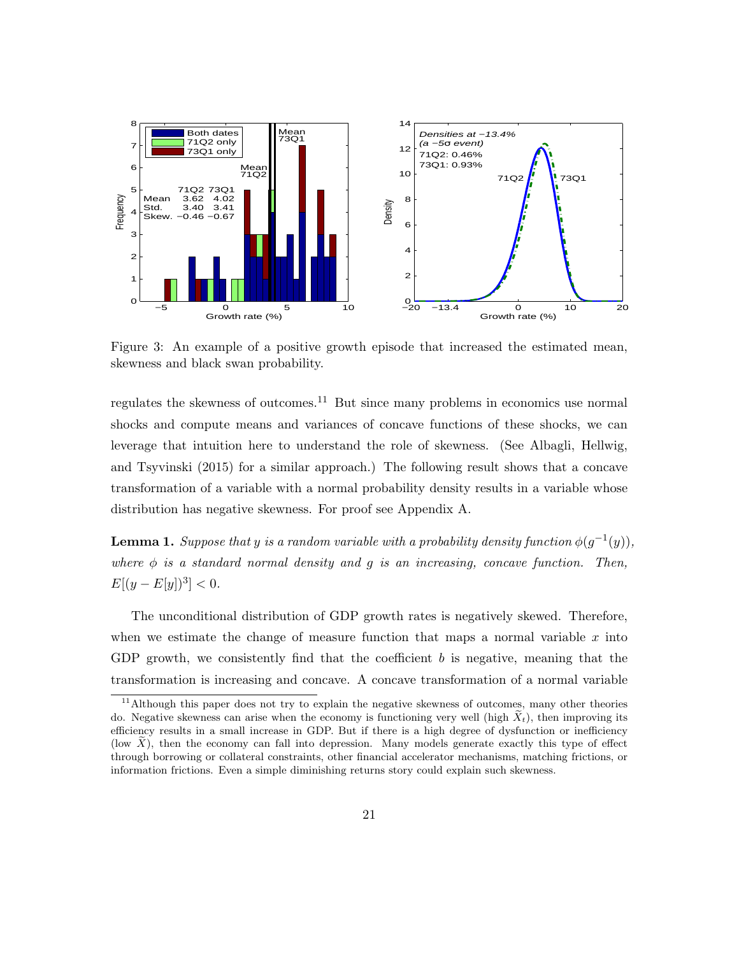

Figure 3: An example of a positive growth episode that increased the estimated mean, skewness and black swan probability.

regulates the skewness of outcomes.<sup>11</sup> But since many problems in economics use normal shocks and compute means and variances of concave functions of these shocks, we can leverage that intuition here to understand the role of skewness. (See Albagli, Hellwig, and Tsyvinski (2015) for a similar approach.) The following result shows that a concave transformation of a variable with a normal probability density results in a variable whose distribution has negative skewness. For proof see Appendix A.

**Lemma 1.** Suppose that y is a random variable with a probability density function  $\phi(g^{-1}(y))$ , where  $\phi$  is a standard normal density and g is an increasing, concave function. Then,  $E[(y - E[y])^3] < 0.$ 

The unconditional distribution of GDP growth rates is negatively skewed. Therefore, when we estimate the change of measure function that maps a normal variable  $x$  into GDP growth, we consistently find that the coefficient  $b$  is negative, meaning that the transformation is increasing and concave. A concave transformation of a normal variable

<sup>&</sup>lt;sup>11</sup>Although this paper does not try to explain the negative skewness of outcomes, many other theories do. Negative skewness can arise when the economy is functioning very well (high  $\tilde{X}_t$ ), then improving its efficiency results in a small increase in GDP. But if there is a high degree of dysfunction or inefficiency (low  $\hat{X}$ ), then the economy can fall into depression. Many models generate exactly this type of effect through borrowing or collateral constraints, other financial accelerator mechanisms, matching frictions, or information frictions. Even a simple diminishing returns story could explain such skewness.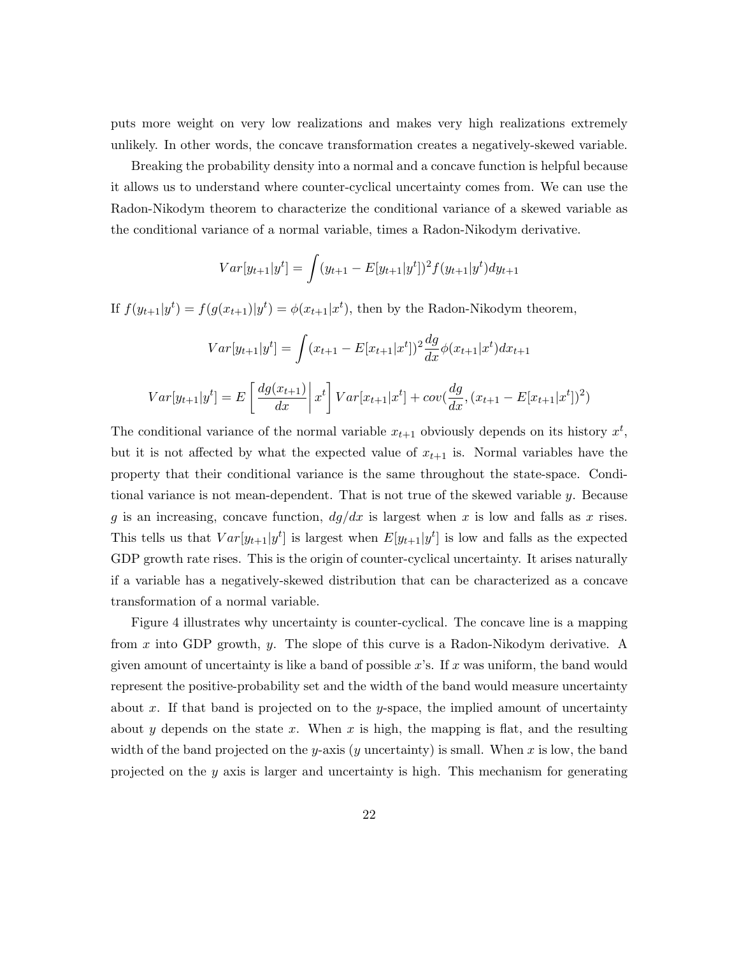puts more weight on very low realizations and makes very high realizations extremely unlikely. In other words, the concave transformation creates a negatively-skewed variable.

Breaking the probability density into a normal and a concave function is helpful because it allows us to understand where counter-cyclical uncertainty comes from. We can use the Radon-Nikodym theorem to characterize the conditional variance of a skewed variable as the conditional variance of a normal variable, times a Radon-Nikodym derivative.

$$
Var[y_{t+1}|y^t] = \int (y_{t+1} - E[y_{t+1}|y^t])^2 f(y_{t+1}|y^t) dy_{t+1}
$$

If  $f(y_{t+1}|y^t) = f(g(x_{t+1})|y^t) = \phi(x_{t+1}|x^t)$ , then by the Radon-Nikodym theorem,

$$
Var[y_{t+1}|y^t] = \int (x_{t+1} - E[x_{t+1}|x^t])^2 \frac{dg}{dx} \phi(x_{t+1}|x^t) dx_{t+1}
$$

$$
Var[y_{t+1}|y^t] = E\left[\frac{dg(x_{t+1})}{dx}\middle| x^t\right] Var[x_{t+1}|x^t] + cov(\frac{dg}{dx}, (x_{t+1} - E[x_{t+1}|x^t])^2)
$$

The conditional variance of the normal variable  $x_{t+1}$  obviously depends on its history  $x^t$ , but it is not affected by what the expected value of  $x_{t+1}$  is. Normal variables have the property that their conditional variance is the same throughout the state-space. Conditional variance is not mean-dependent. That is not true of the skewed variable  $y$ . Because g is an increasing, concave function,  $dg/dx$  is largest when x is low and falls as x rises. This tells us that  $Var[y_{t+1}|y^t]$  is largest when  $E[y_{t+1}|y^t]$  is low and falls as the expected GDP growth rate rises. This is the origin of counter-cyclical uncertainty. It arises naturally if a variable has a negatively-skewed distribution that can be characterized as a concave transformation of a normal variable.

Figure 4 illustrates why uncertainty is counter-cyclical. The concave line is a mapping from x into GDP growth, y. The slope of this curve is a Radon-Nikodym derivative. A given amount of uncertainty is like a band of possible x's. If x was uniform, the band would represent the positive-probability set and the width of the band would measure uncertainty about x. If that band is projected on to the y-space, the implied amount of uncertainty about y depends on the state x. When x is high, the mapping is flat, and the resulting width of the band projected on the y-axis (y uncertainty) is small. When x is low, the band projected on the  $y$  axis is larger and uncertainty is high. This mechanism for generating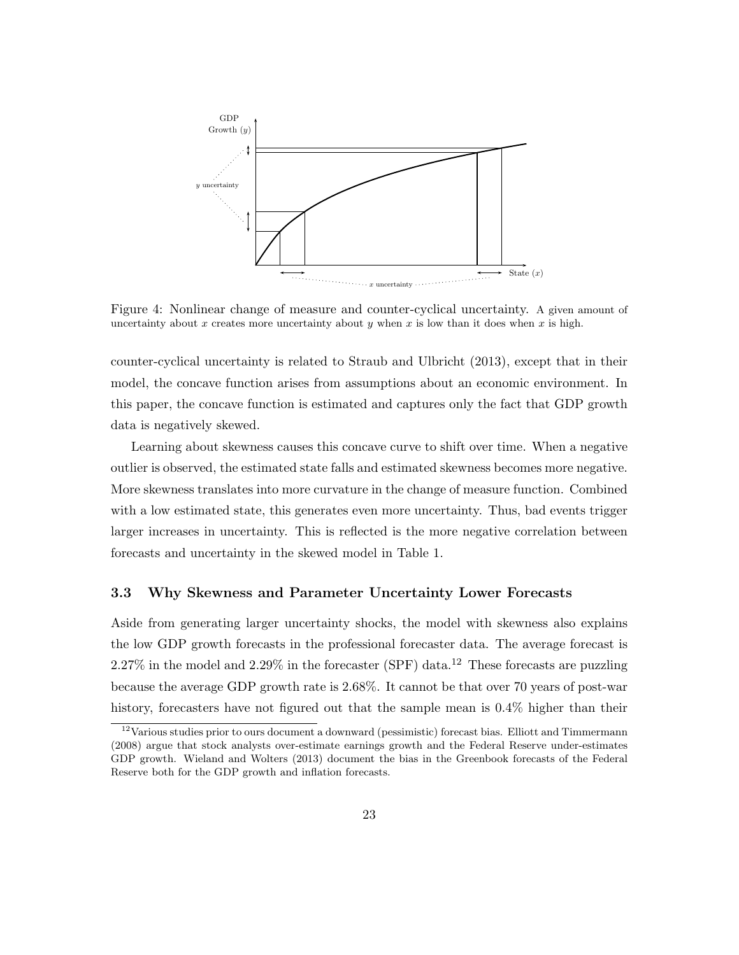

Figure 4: Nonlinear change of measure and counter-cyclical uncertainty. A given amount of uncertainty about x creates more uncertainty about y when x is low than it does when x is high.

counter-cyclical uncertainty is related to Straub and Ulbricht (2013), except that in their model, the concave function arises from assumptions about an economic environment. In this paper, the concave function is estimated and captures only the fact that GDP growth data is negatively skewed.

Learning about skewness causes this concave curve to shift over time. When a negative outlier is observed, the estimated state falls and estimated skewness becomes more negative. More skewness translates into more curvature in the change of measure function. Combined with a low estimated state, this generates even more uncertainty. Thus, bad events trigger larger increases in uncertainty. This is reflected is the more negative correlation between forecasts and uncertainty in the skewed model in Table 1.

#### 3.3 Why Skewness and Parameter Uncertainty Lower Forecasts

Aside from generating larger uncertainty shocks, the model with skewness also explains the low GDP growth forecasts in the professional forecaster data. The average forecast is  $2.27\%$  in the model and  $2.29\%$  in the forecaster (SPF) data.<sup>12</sup> These forecasts are puzzling because the average GDP growth rate is 2.68%. It cannot be that over 70 years of post-war history, forecasters have not figured out that the sample mean is  $0.4\%$  higher than their

 $12$ Various studies prior to ours document a downward (pessimistic) forecast bias. Elliott and Timmermann (2008) argue that stock analysts over-estimate earnings growth and the Federal Reserve under-estimates GDP growth. Wieland and Wolters (2013) document the bias in the Greenbook forecasts of the Federal Reserve both for the GDP growth and inflation forecasts.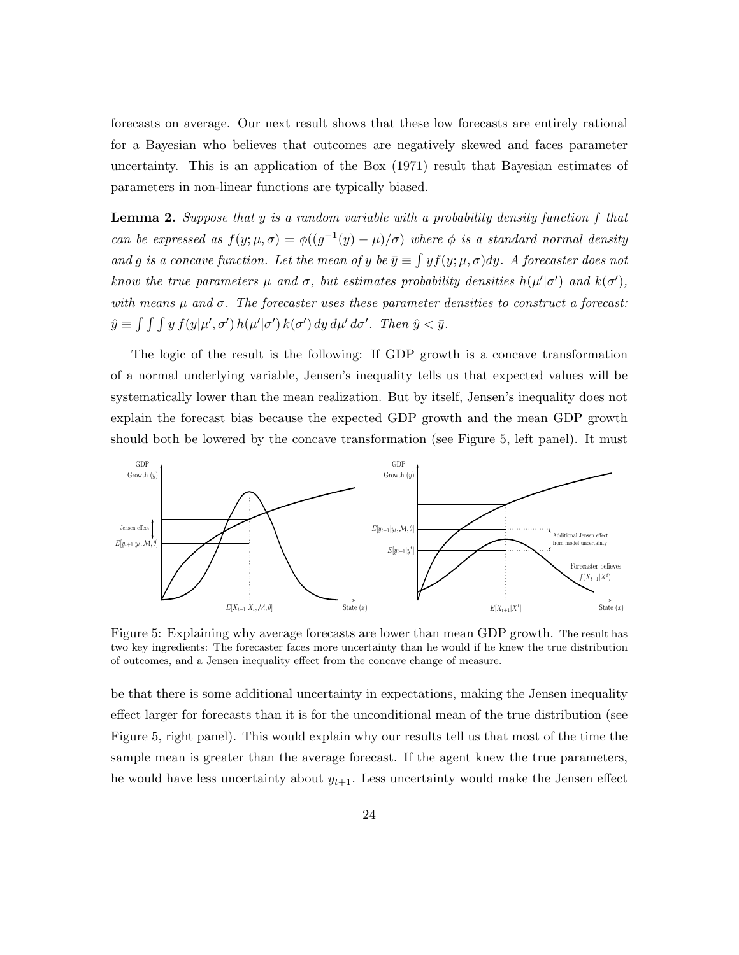forecasts on average. Our next result shows that these low forecasts are entirely rational for a Bayesian who believes that outcomes are negatively skewed and faces parameter uncertainty. This is an application of the Box (1971) result that Bayesian estimates of parameters in non-linear functions are typically biased.

**Lemma 2.** Suppose that y is a random variable with a probability density function f that can be expressed as  $f(y; \mu, \sigma) = \phi((g^{-1}(y) - \mu)/\sigma)$  where  $\phi$  is a standard normal density and g is a concave function. Let the mean of y be  $\bar{y} \equiv \int y f(y; \mu, \sigma) dy$ . A forecaster does not know the true parameters  $\mu$  and  $\sigma$ , but estimates probability densities  $h(\mu'|\sigma')$  and  $k(\sigma')$ , with means  $\mu$  and  $\sigma$ . The forecaster uses these parameter densities to construct a forecast:  $\hat{y} \equiv \int \int \int y f(y|\mu', \sigma') h(\mu'|\sigma') k(\sigma') dy d\mu' d\sigma'.$  Then  $\hat{y} < \bar{y}$ .

The logic of the result is the following: If GDP growth is a concave transformation of a normal underlying variable, Jensen's inequality tells us that expected values will be systematically lower than the mean realization. But by itself, Jensen's inequality does not explain the forecast bias because the expected GDP growth and the mean GDP growth should both be lowered by the concave transformation (see Figure 5, left panel). It must



Figure 5: Explaining why average forecasts are lower than mean GDP growth. The result has two key ingredients: The forecaster faces more uncertainty than he would if he knew the true distribution of outcomes, and a Jensen inequality effect from the concave change of measure.

be that there is some additional uncertainty in expectations, making the Jensen inequality effect larger for forecasts than it is for the unconditional mean of the true distribution (see Figure 5, right panel). This would explain why our results tell us that most of the time the sample mean is greater than the average forecast. If the agent knew the true parameters, he would have less uncertainty about  $y_{t+1}$ . Less uncertainty would make the Jensen effect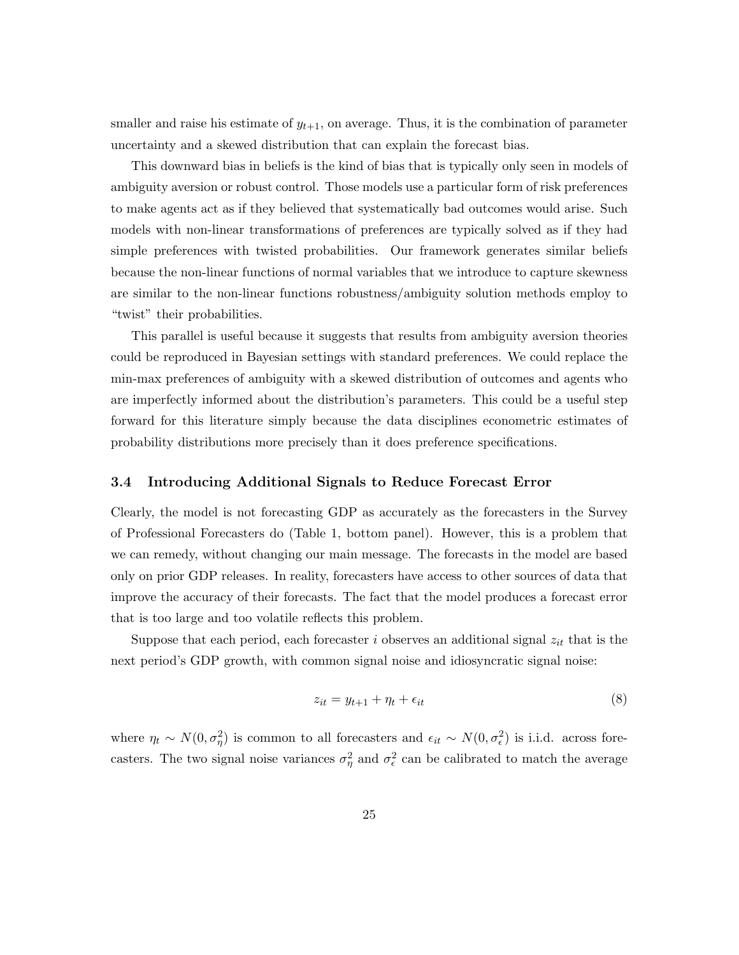smaller and raise his estimate of  $y_{t+1}$ , on average. Thus, it is the combination of parameter uncertainty and a skewed distribution that can explain the forecast bias.

This downward bias in beliefs is the kind of bias that is typically only seen in models of ambiguity aversion or robust control. Those models use a particular form of risk preferences to make agents act as if they believed that systematically bad outcomes would arise. Such models with non-linear transformations of preferences are typically solved as if they had simple preferences with twisted probabilities. Our framework generates similar beliefs because the non-linear functions of normal variables that we introduce to capture skewness are similar to the non-linear functions robustness/ambiguity solution methods employ to "twist" their probabilities.

This parallel is useful because it suggests that results from ambiguity aversion theories could be reproduced in Bayesian settings with standard preferences. We could replace the min-max preferences of ambiguity with a skewed distribution of outcomes and agents who are imperfectly informed about the distribution's parameters. This could be a useful step forward for this literature simply because the data disciplines econometric estimates of probability distributions more precisely than it does preference specifications.

#### 3.4 Introducing Additional Signals to Reduce Forecast Error

Clearly, the model is not forecasting GDP as accurately as the forecasters in the Survey of Professional Forecasters do (Table 1, bottom panel). However, this is a problem that we can remedy, without changing our main message. The forecasts in the model are based only on prior GDP releases. In reality, forecasters have access to other sources of data that improve the accuracy of their forecasts. The fact that the model produces a forecast error that is too large and too volatile reflects this problem.

Suppose that each period, each forecaster  $i$  observes an additional signal  $z_{it}$  that is the next period's GDP growth, with common signal noise and idiosyncratic signal noise:

$$
z_{it} = y_{t+1} + \eta_t + \epsilon_{it} \tag{8}
$$

where  $\eta_t \sim N(0, \sigma_\eta^2)$  is common to all forecasters and  $\epsilon_{it} \sim N(0, \sigma_\epsilon^2)$  is i.i.d. across forecasters. The two signal noise variances  $\sigma_{\eta}^2$  and  $\sigma_{\epsilon}^2$  can be calibrated to match the average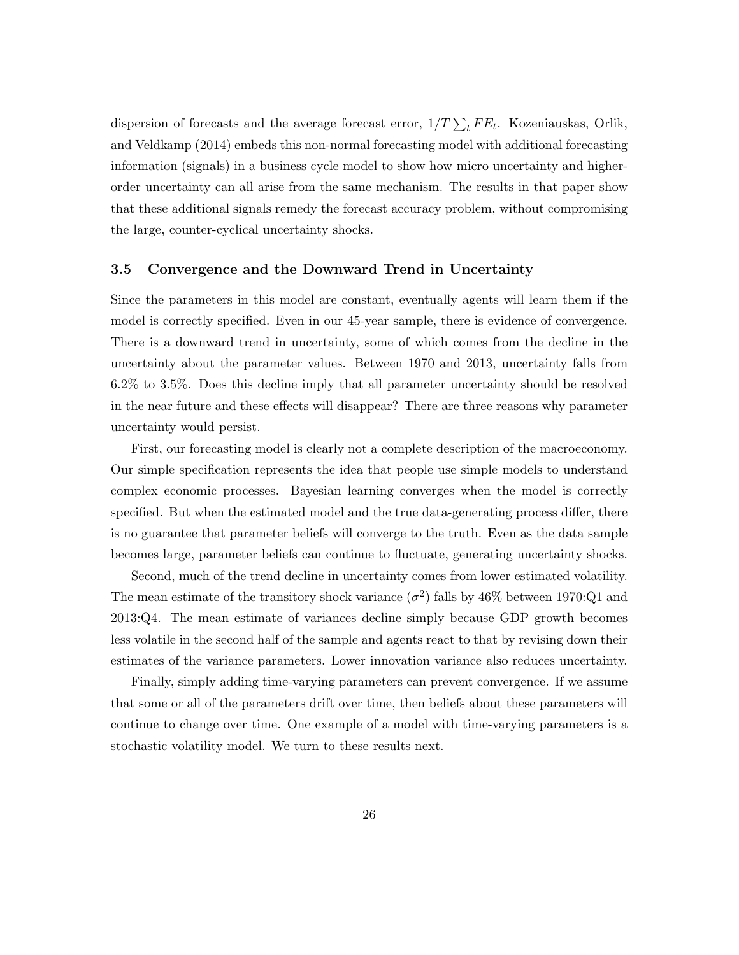dispersion of forecasts and the average forecast error,  $1/T \sum_{t} FE_{t}$ . Kozeniauskas, Orlik, and Veldkamp (2014) embeds this non-normal forecasting model with additional forecasting information (signals) in a business cycle model to show how micro uncertainty and higherorder uncertainty can all arise from the same mechanism. The results in that paper show that these additional signals remedy the forecast accuracy problem, without compromising the large, counter-cyclical uncertainty shocks.

#### 3.5 Convergence and the Downward Trend in Uncertainty

Since the parameters in this model are constant, eventually agents will learn them if the model is correctly specified. Even in our 45-year sample, there is evidence of convergence. There is a downward trend in uncertainty, some of which comes from the decline in the uncertainty about the parameter values. Between 1970 and 2013, uncertainty falls from 6.2% to 3.5%. Does this decline imply that all parameter uncertainty should be resolved in the near future and these effects will disappear? There are three reasons why parameter uncertainty would persist.

First, our forecasting model is clearly not a complete description of the macroeconomy. Our simple specification represents the idea that people use simple models to understand complex economic processes. Bayesian learning converges when the model is correctly specified. But when the estimated model and the true data-generating process differ, there is no guarantee that parameter beliefs will converge to the truth. Even as the data sample becomes large, parameter beliefs can continue to fluctuate, generating uncertainty shocks.

Second, much of the trend decline in uncertainty comes from lower estimated volatility. The mean estimate of the transitory shock variance  $(\sigma^2)$  falls by 46% between 1970:Q1 and 2013:Q4. The mean estimate of variances decline simply because GDP growth becomes less volatile in the second half of the sample and agents react to that by revising down their estimates of the variance parameters. Lower innovation variance also reduces uncertainty.

Finally, simply adding time-varying parameters can prevent convergence. If we assume that some or all of the parameters drift over time, then beliefs about these parameters will continue to change over time. One example of a model with time-varying parameters is a stochastic volatility model. We turn to these results next.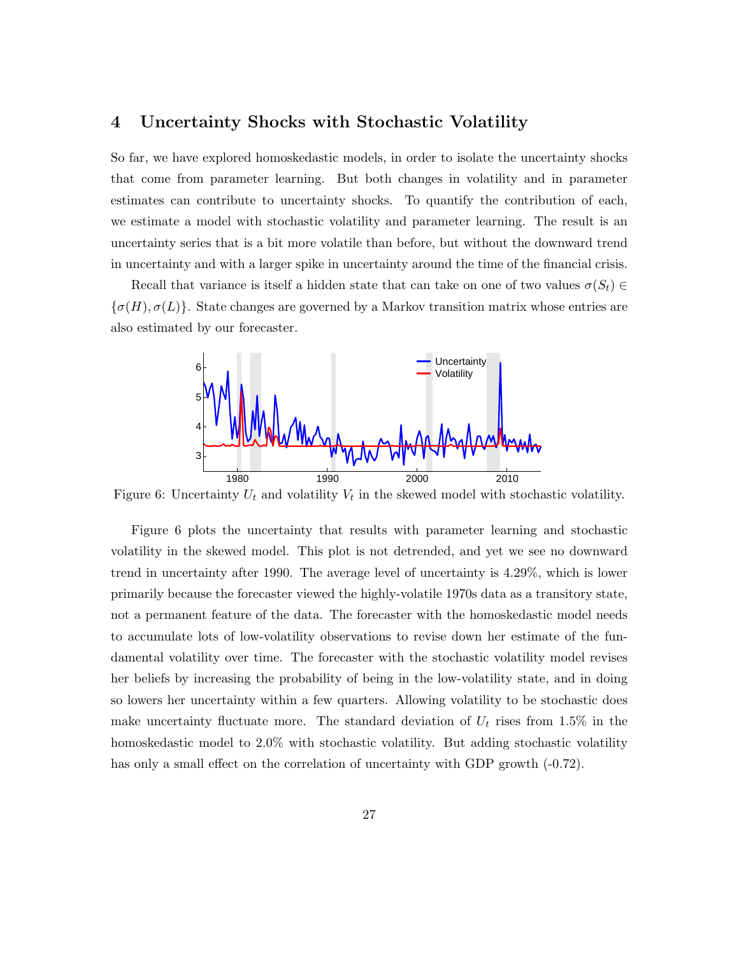## 4 Uncertainty Shocks with Stochastic Volatility

So far, we have explored homoskedastic models, in order to isolate the uncertainty shocks that come from parameter learning. But both changes in volatility and in parameter estimates can contribute to uncertainty shocks. To quantify the contribution of each, we estimate a model with stochastic volatility and parameter learning. The result is an uncertainty series that is a bit more volatile than before, but without the downward trend in uncertainty and with a larger spike in uncertainty around the time of the financial crisis.

Recall that variance is itself a hidden state that can take on one of two values  $\sigma(S_t) \in$  $\{\sigma(H), \sigma(L)\}\$ . State changes are governed by a Markov transition matrix whose entries are also estimated by our forecaster.



Figure 6: Uncertainty  $U_t$  and volatility  $V_t$  in the skewed model with stochastic volatility.

Figure 6 plots the uncertainty that results with parameter learning and stochastic volatility in the skewed model. This plot is not detrended, and yet we see no downward trend in uncertainty after 1990. The average level of uncertainty is 4.29%, which is lower primarily because the forecaster viewed the highly-volatile 1970s data as a transitory state, not a permanent feature of the data. The forecaster with the homoskedastic model needs to accumulate lots of low-volatility observations to revise down her estimate of the fundamental volatility over time. The forecaster with the stochastic volatility model revises her beliefs by increasing the probability of being in the low-volatility state, and in doing so lowers her uncertainty within a few quarters. Allowing volatility to be stochastic does make uncertainty fluctuate more. The standard deviation of  $U_t$  rises from 1.5% in the homoskedastic model to 2.0% with stochastic volatility. But adding stochastic volatility has only a small effect on the correlation of uncertainty with GDP growth  $(-0.72)$ .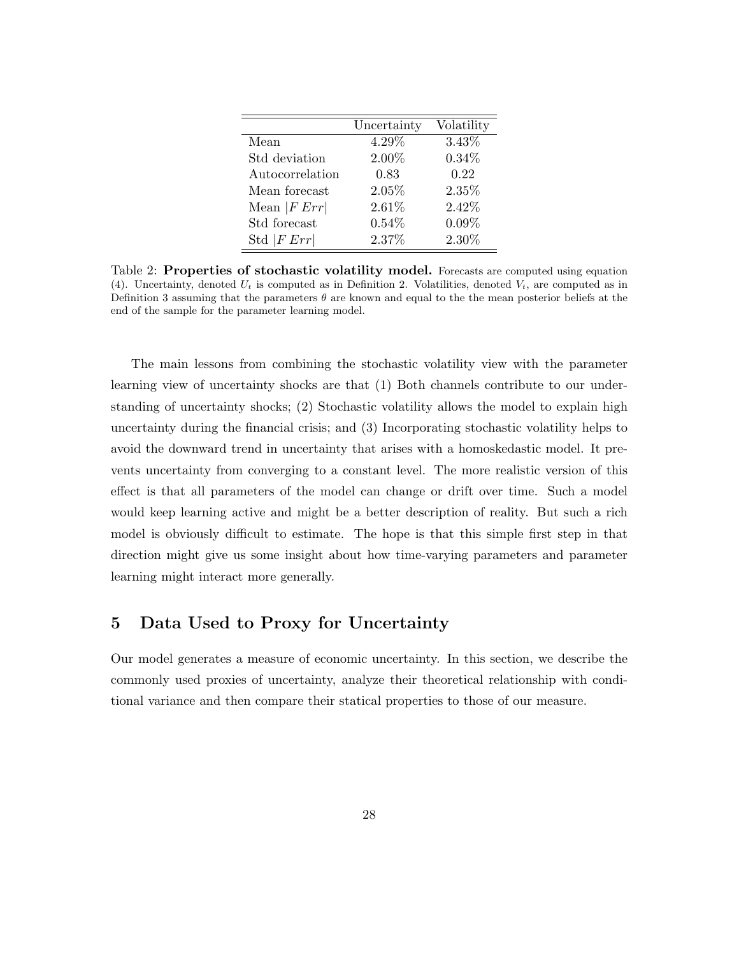|                 | Uncertainty | Volatility |
|-----------------|-------------|------------|
| Mean            | $4.29\%$    | 3.43%      |
| Std deviation   | 2.00%       | $0.34\%$   |
| Autocorrelation | 0.83        | 0.22       |
| Mean forecast   | 2.05%       | 2.35%      |
| Mean $ FErr $   | 2.61%       | 2.42%      |
| Std forecast    | $0.54\%$    | $0.09\%$   |
| Std $ FErr $    | 2.37%       | 2.30%      |

Table 2: Properties of stochastic volatility model. Forecasts are computed using equation (4). Uncertainty, denoted  $U_t$  is computed as in Definition 2. Volatilities, denoted  $V_t$ , are computed as in Definition 3 assuming that the parameters  $\theta$  are known and equal to the the mean posterior beliefs at the end of the sample for the parameter learning model.

The main lessons from combining the stochastic volatility view with the parameter learning view of uncertainty shocks are that (1) Both channels contribute to our understanding of uncertainty shocks; (2) Stochastic volatility allows the model to explain high uncertainty during the financial crisis; and (3) Incorporating stochastic volatility helps to avoid the downward trend in uncertainty that arises with a homoskedastic model. It prevents uncertainty from converging to a constant level. The more realistic version of this effect is that all parameters of the model can change or drift over time. Such a model would keep learning active and might be a better description of reality. But such a rich model is obviously difficult to estimate. The hope is that this simple first step in that direction might give us some insight about how time-varying parameters and parameter learning might interact more generally.

# 5 Data Used to Proxy for Uncertainty

Our model generates a measure of economic uncertainty. In this section, we describe the commonly used proxies of uncertainty, analyze their theoretical relationship with conditional variance and then compare their statical properties to those of our measure.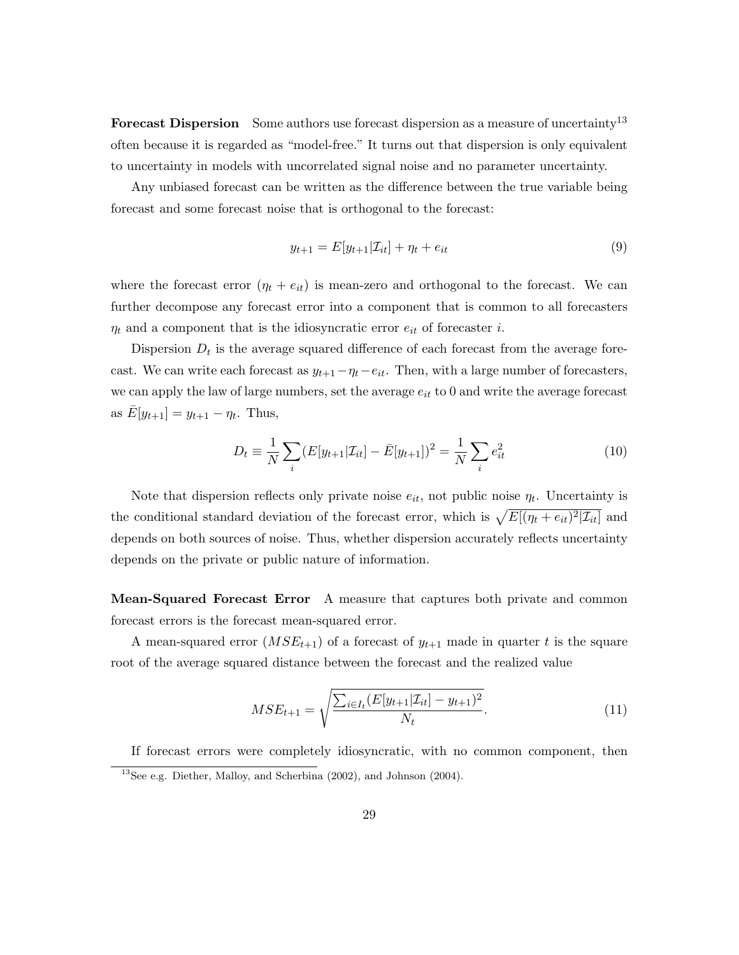Forecast Dispersion Some authors use forecast dispersion as a measure of uncertainty<sup>13</sup> often because it is regarded as "model-free." It turns out that dispersion is only equivalent to uncertainty in models with uncorrelated signal noise and no parameter uncertainty.

Any unbiased forecast can be written as the difference between the true variable being forecast and some forecast noise that is orthogonal to the forecast:

$$
y_{t+1} = E[y_{t+1}|\mathcal{I}_{it}] + \eta_t + e_{it} \tag{9}
$$

where the forecast error  $(\eta_t + e_{it})$  is mean-zero and orthogonal to the forecast. We can further decompose any forecast error into a component that is common to all forecasters  $\eta_t$  and a component that is the idiosyncratic error  $e_{it}$  of forecaster *i*.

Dispersion  $D_t$  is the average squared difference of each forecast from the average forecast. We can write each forecast as  $y_{t+1}-\eta_t-e_{it}$ . Then, with a large number of forecasters, we can apply the law of large numbers, set the average  $e_{it}$  to 0 and write the average forecast as  $\bar{E}[y_{t+1}] = y_{t+1} - \eta_t$ . Thus,

$$
D_t \equiv \frac{1}{N} \sum_{i} (E[y_{t+1}|\mathcal{I}_{it}] - \bar{E}[y_{t+1}])^2 = \frac{1}{N} \sum_{i} e_{it}^2
$$
 (10)

Note that dispersion reflects only private noise  $e_{it}$ , not public noise  $\eta_t$ . Uncertainty is the conditional standard deviation of the forecast error, which is  $\sqrt{E[(\eta_t + e_{it})^2 | \mathcal{I}_{it}]}$  and depends on both sources of noise. Thus, whether dispersion accurately reflects uncertainty depends on the private or public nature of information.

Mean-Squared Forecast Error A measure that captures both private and common forecast errors is the forecast mean-squared error.

A mean-squared error  $(MSE_{t+1})$  of a forecast of  $y_{t+1}$  made in quarter t is the square root of the average squared distance between the forecast and the realized value

$$
MSE_{t+1} = \sqrt{\frac{\sum_{i \in I_t} (E[y_{t+1}|\mathcal{I}_{it}] - y_{t+1})^2}{N_t}}.
$$
\n(11)

If forecast errors were completely idiosyncratic, with no common component, then  $13$ See e.g. Diether, Malloy, and Scherbina (2002), and Johnson (2004).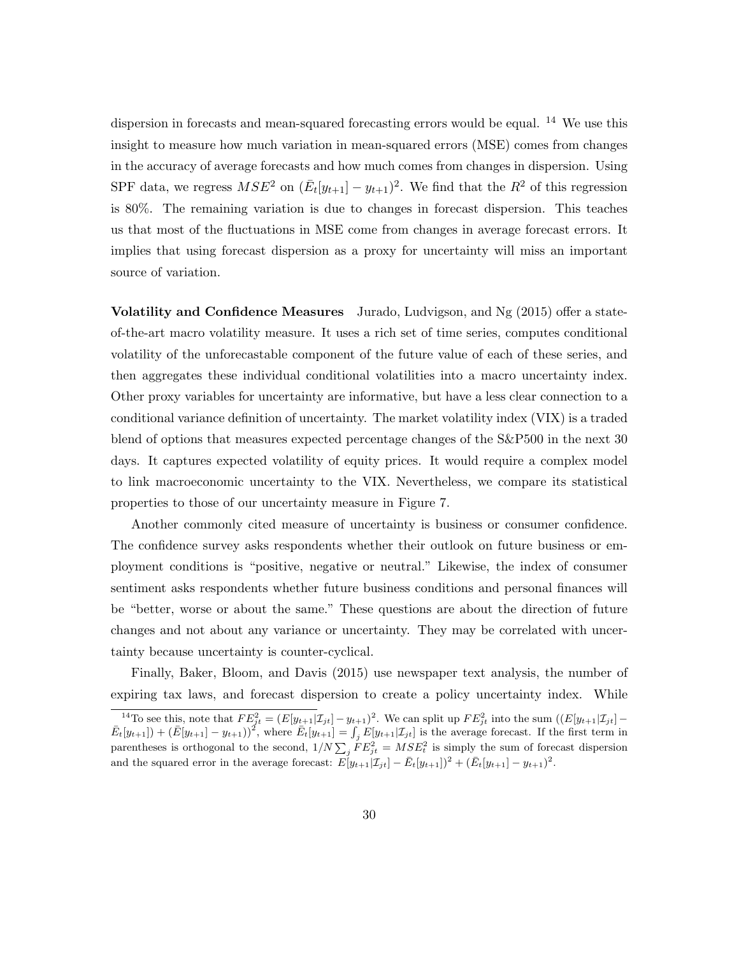dispersion in forecasts and mean-squared forecasting errors would be equal.  $^{14}$  We use this insight to measure how much variation in mean-squared errors (MSE) comes from changes in the accuracy of average forecasts and how much comes from changes in dispersion. Using SPF data, we regress  $MSE^2$  on  $(\bar{E}_t[y_{t+1}] - y_{t+1})^2$ . We find that the  $R^2$  of this regression is 80%. The remaining variation is due to changes in forecast dispersion. This teaches us that most of the fluctuations in MSE come from changes in average forecast errors. It implies that using forecast dispersion as a proxy for uncertainty will miss an important source of variation.

Volatility and Confidence Measures Jurado, Ludvigson, and Ng (2015) offer a stateof-the-art macro volatility measure. It uses a rich set of time series, computes conditional volatility of the unforecastable component of the future value of each of these series, and then aggregates these individual conditional volatilities into a macro uncertainty index. Other proxy variables for uncertainty are informative, but have a less clear connection to a conditional variance definition of uncertainty. The market volatility index (VIX) is a traded blend of options that measures expected percentage changes of the S&P500 in the next 30 days. It captures expected volatility of equity prices. It would require a complex model to link macroeconomic uncertainty to the VIX. Nevertheless, we compare its statistical properties to those of our uncertainty measure in Figure 7.

Another commonly cited measure of uncertainty is business or consumer confidence. The confidence survey asks respondents whether their outlook on future business or employment conditions is "positive, negative or neutral." Likewise, the index of consumer sentiment asks respondents whether future business conditions and personal finances will be "better, worse or about the same." These questions are about the direction of future changes and not about any variance or uncertainty. They may be correlated with uncertainty because uncertainty is counter-cyclical.

Finally, Baker, Bloom, and Davis (2015) use newspaper text analysis, the number of expiring tax laws, and forecast dispersion to create a policy uncertainty index. While

<sup>&</sup>lt;sup>14</sup>To see this, note that  $FE_{jt}^2 = (E[y_{t+1}|\mathcal{I}_{jt}] - y_{t+1})^2$ . We can split up  $FE_{jt}^2$  into the sum  $((E[y_{t+1}|\mathcal{I}_{jt}] - y_{t+1})^2)$  $\bar{E}_t[y_{t+1}]+(\bar{E}[y_{t+1}]-y_{t+1})^2$ , where  $\bar{E}_t[y_{t+1}]=\int_j E[y_{t+1}|\mathcal{I}_{jt}]$  is the average forecast. If the first term in parentheses is orthogonal to the second,  $1/N \sum_j FE_{jt}^2 = MSE_t^2$  is simply the sum of forecast dispersion and the squared error in the average forecast:  $E[y_{t+1}|\mathcal{I}_{jt}] - \bar{E}_t[y_{t+1}]^2 + (\bar{E}_t[y_{t+1}] - y_{t+1})^2$ .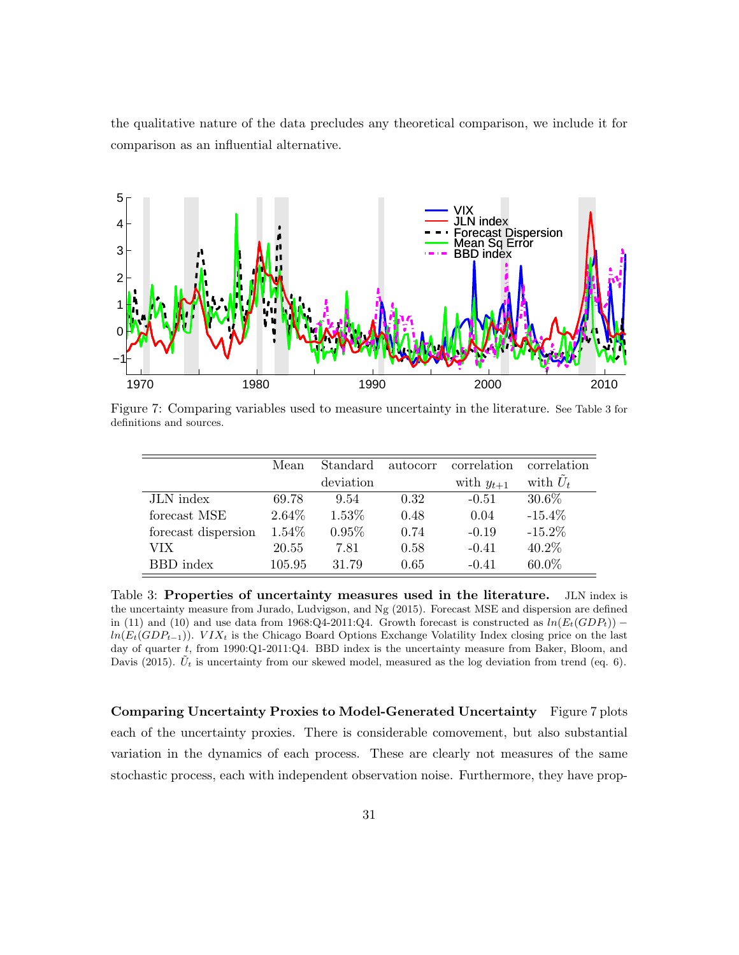the qualitative nature of the data precludes any theoretical comparison, we include it for comparison as an influential alternative.



Figure 7: Comparing variables used to measure uncertainty in the literature. See Table 3 for definitions and sources.

|                     | Mean   | Standard  | autocorr | correlation    | correlation |
|---------------------|--------|-----------|----------|----------------|-------------|
|                     |        | deviation |          | with $y_{t+1}$ | with $U_t$  |
| JLN index           | 69.78  | 9.54      | 0.32     | $-0.51$        | 30.6%       |
| forecast MSE        | 2.64\% | 1.53%     | 0.48     | 0.04           | $-15.4\%$   |
| forecast dispersion | 1.54%  | 0.95%     | 0.74     | $-0.19$        | $-15.2\%$   |
| VIX-                | 20.55  | 7.81      | 0.58     | $-0.41$        | 40.2%       |
| BBD index           | 105.95 | 31.79     | 0.65     | $-0.41$        | 60.0%       |

Table 3: Properties of uncertainty measures used in the literature. JLN index is the uncertainty measure from Jurado, Ludvigson, and Ng (2015). Forecast MSE and dispersion are defined in (11) and (10) and use data from 1968:Q4-2011:Q4. Growth forecast is constructed as  $ln(E_t(GDP_t))$  –  $ln(E_t(GDP_{t-1}))$ . VIX<sub>t</sub> is the Chicago Board Options Exchange Volatility Index closing price on the last day of quarter t, from 1990:Q1-2011:Q4. BBD index is the uncertainty measure from Baker, Bloom, and Davis (2015).  $\tilde{U}_t$  is uncertainty from our skewed model, measured as the log deviation from trend (eq. 6).

Comparing Uncertainty Proxies to Model-Generated Uncertainty Figure 7 plots each of the uncertainty proxies. There is considerable comovement, but also substantial variation in the dynamics of each process. These are clearly not measures of the same stochastic process, each with independent observation noise. Furthermore, they have prop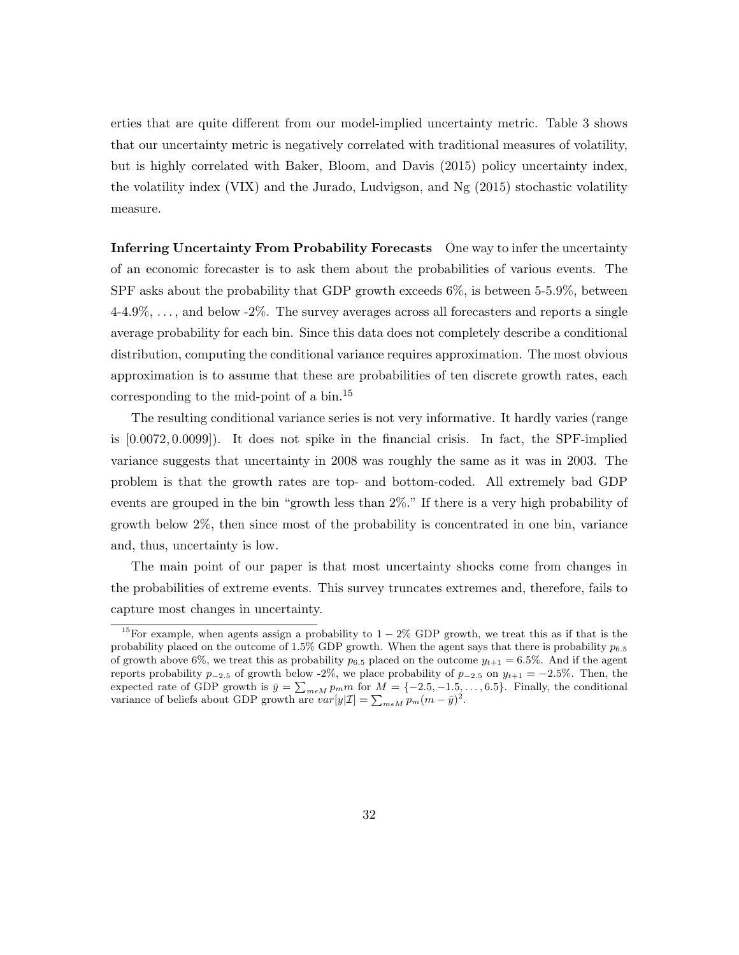erties that are quite different from our model-implied uncertainty metric. Table 3 shows that our uncertainty metric is negatively correlated with traditional measures of volatility, but is highly correlated with Baker, Bloom, and Davis (2015) policy uncertainty index, the volatility index (VIX) and the Jurado, Ludvigson, and Ng (2015) stochastic volatility measure.

Inferring Uncertainty From Probability Forecasts One way to infer the uncertainty of an economic forecaster is to ask them about the probabilities of various events. The SPF asks about the probability that GDP growth exceeds 6%, is between 5-5.9%, between 4-4.9%, . . . , and below -2%. The survey averages across all forecasters and reports a single average probability for each bin. Since this data does not completely describe a conditional distribution, computing the conditional variance requires approximation. The most obvious approximation is to assume that these are probabilities of ten discrete growth rates, each corresponding to the mid-point of a bin.<sup>15</sup>

The resulting conditional variance series is not very informative. It hardly varies (range is [0.0072, 0.0099]). It does not spike in the financial crisis. In fact, the SPF-implied variance suggests that uncertainty in 2008 was roughly the same as it was in 2003. The problem is that the growth rates are top- and bottom-coded. All extremely bad GDP events are grouped in the bin "growth less than 2%." If there is a very high probability of growth below 2%, then since most of the probability is concentrated in one bin, variance and, thus, uncertainty is low.

The main point of our paper is that most uncertainty shocks come from changes in the probabilities of extreme events. This survey truncates extremes and, therefore, fails to capture most changes in uncertainty.

<sup>&</sup>lt;sup>15</sup>For example, when agents assign a probability to  $1-2\%$  GDP growth, we treat this as if that is the probability placed on the outcome of  $1.5\%$  GDP growth. When the agent says that there is probability  $p_{6.5}$ of growth above 6%, we treat this as probability  $p_{6.5}$  placed on the outcome  $y_{t+1} = 6.5\%$ . And if the agent reports probability  $p_{-2.5}$  of growth below -2%, we place probability of  $p_{-2.5}$  on  $y_{t+1} = -2.5\%$ . Then, the expected rate of GDP growth is  $\bar{y} = \sum_{m \in M} p_m m$  for  $M = \{-2.5, -1.5, \dots, 6.5\}$ . Finally, the conditional variance of beliefs about GDP growth are  $var[y|I] = \sum_{m \in M} p_m (m - \bar{y})^2$ .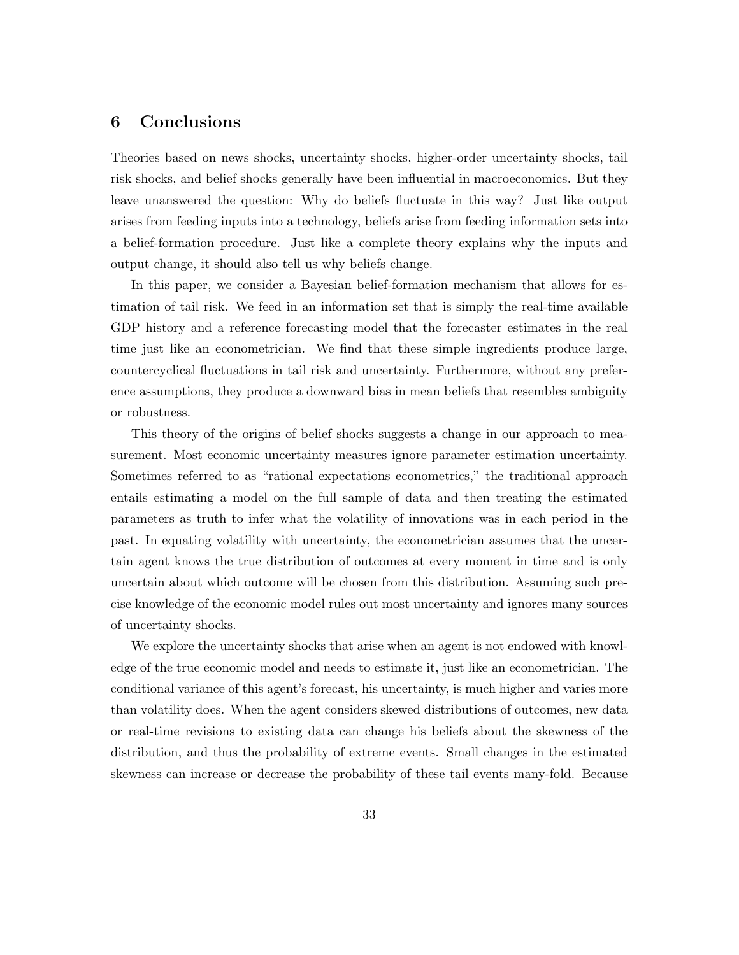# 6 Conclusions

Theories based on news shocks, uncertainty shocks, higher-order uncertainty shocks, tail risk shocks, and belief shocks generally have been influential in macroeconomics. But they leave unanswered the question: Why do beliefs fluctuate in this way? Just like output arises from feeding inputs into a technology, beliefs arise from feeding information sets into a belief-formation procedure. Just like a complete theory explains why the inputs and output change, it should also tell us why beliefs change.

In this paper, we consider a Bayesian belief-formation mechanism that allows for estimation of tail risk. We feed in an information set that is simply the real-time available GDP history and a reference forecasting model that the forecaster estimates in the real time just like an econometrician. We find that these simple ingredients produce large, countercyclical fluctuations in tail risk and uncertainty. Furthermore, without any preference assumptions, they produce a downward bias in mean beliefs that resembles ambiguity or robustness.

This theory of the origins of belief shocks suggests a change in our approach to measurement. Most economic uncertainty measures ignore parameter estimation uncertainty. Sometimes referred to as "rational expectations econometrics," the traditional approach entails estimating a model on the full sample of data and then treating the estimated parameters as truth to infer what the volatility of innovations was in each period in the past. In equating volatility with uncertainty, the econometrician assumes that the uncertain agent knows the true distribution of outcomes at every moment in time and is only uncertain about which outcome will be chosen from this distribution. Assuming such precise knowledge of the economic model rules out most uncertainty and ignores many sources of uncertainty shocks.

We explore the uncertainty shocks that arise when an agent is not endowed with knowledge of the true economic model and needs to estimate it, just like an econometrician. The conditional variance of this agent's forecast, his uncertainty, is much higher and varies more than volatility does. When the agent considers skewed distributions of outcomes, new data or real-time revisions to existing data can change his beliefs about the skewness of the distribution, and thus the probability of extreme events. Small changes in the estimated skewness can increase or decrease the probability of these tail events many-fold. Because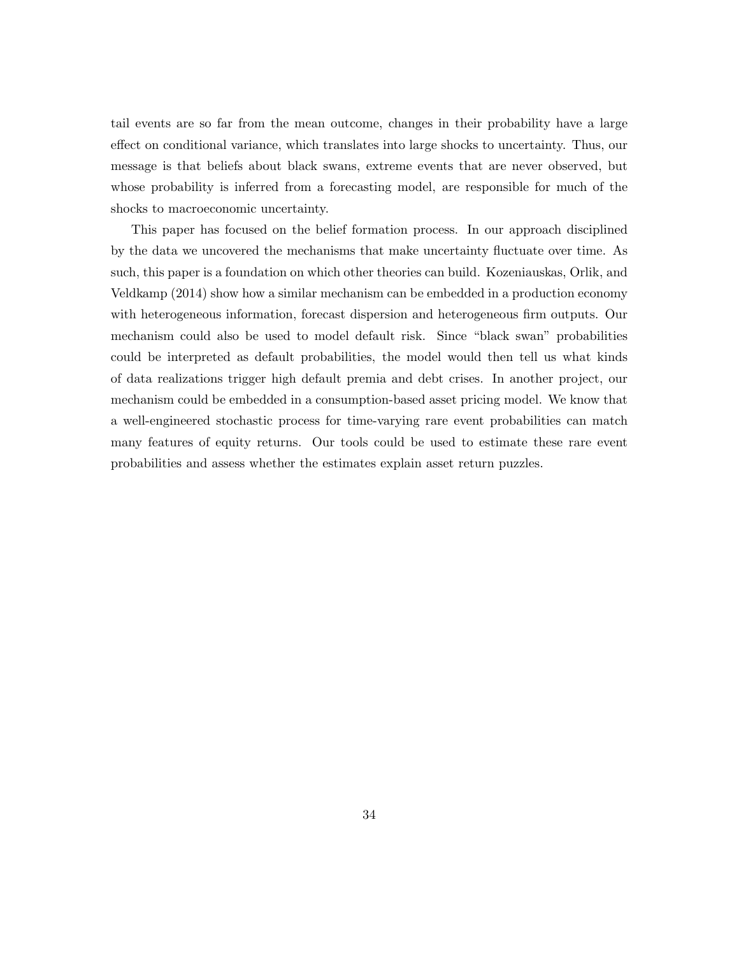tail events are so far from the mean outcome, changes in their probability have a large effect on conditional variance, which translates into large shocks to uncertainty. Thus, our message is that beliefs about black swans, extreme events that are never observed, but whose probability is inferred from a forecasting model, are responsible for much of the shocks to macroeconomic uncertainty.

This paper has focused on the belief formation process. In our approach disciplined by the data we uncovered the mechanisms that make uncertainty fluctuate over time. As such, this paper is a foundation on which other theories can build. Kozeniauskas, Orlik, and Veldkamp (2014) show how a similar mechanism can be embedded in a production economy with heterogeneous information, forecast dispersion and heterogeneous firm outputs. Our mechanism could also be used to model default risk. Since "black swan" probabilities could be interpreted as default probabilities, the model would then tell us what kinds of data realizations trigger high default premia and debt crises. In another project, our mechanism could be embedded in a consumption-based asset pricing model. We know that a well-engineered stochastic process for time-varying rare event probabilities can match many features of equity returns. Our tools could be used to estimate these rare event probabilities and assess whether the estimates explain asset return puzzles.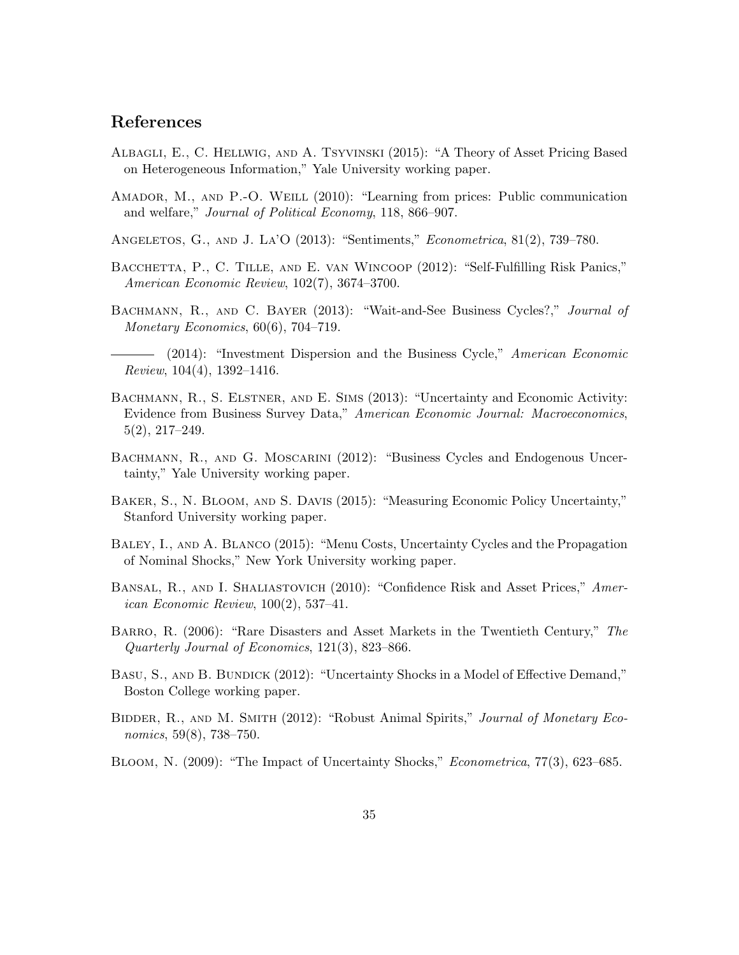# References

- Albagli, E., C. Hellwig, and A. Tsyvinski (2015): "A Theory of Asset Pricing Based on Heterogeneous Information," Yale University working paper.
- AMADOR, M., AND P.-O. WEILL (2010): "Learning from prices: Public communication and welfare," Journal of Political Economy, 118, 866–907.
- Angeletos, G., and J. La'O (2013): "Sentiments," Econometrica, 81(2), 739–780.
- BACCHETTA, P., C. TILLE, AND E. VAN WINCOOP (2012): "Self-Fulfilling Risk Panics," American Economic Review, 102(7), 3674–3700.
- BACHMANN, R., AND C. BAYER (2013): "Wait-and-See Business Cycles?," Journal of Monetary Economics,  $60(6)$ ,  $704-719$ .
- (2014): "Investment Dispersion and the Business Cycle," American Economic Review, 104(4), 1392–1416.
- BACHMANN, R., S. ELSTNER, AND E. SIMS (2013): "Uncertainty and Economic Activity: Evidence from Business Survey Data," American Economic Journal: Macroeconomics, 5(2), 217–249.
- BACHMANN, R., AND G. MOSCARINI (2012): "Business Cycles and Endogenous Uncertainty," Yale University working paper.
- Baker, S., N. Bloom, and S. Davis (2015): "Measuring Economic Policy Uncertainty," Stanford University working paper.
- Baley, I., and A. Blanco (2015): "Menu Costs, Uncertainty Cycles and the Propagation of Nominal Shocks," New York University working paper.
- BANSAL, R., AND I. SHALIASTOVICH (2010): "Confidence Risk and Asset Prices," American Economic Review, 100(2), 537–41.
- Barro, R. (2006): "Rare Disasters and Asset Markets in the Twentieth Century," The Quarterly Journal of Economics, 121(3), 823–866.
- BASU, S., AND B. BUNDICK (2012): "Uncertainty Shocks in a Model of Effective Demand," Boston College working paper.
- BIDDER, R., AND M. SMITH (2012): "Robust Animal Spirits," Journal of Monetary Economics, 59(8), 738–750.
- Bloom, N. (2009): "The Impact of Uncertainty Shocks," Econometrica, 77(3), 623–685.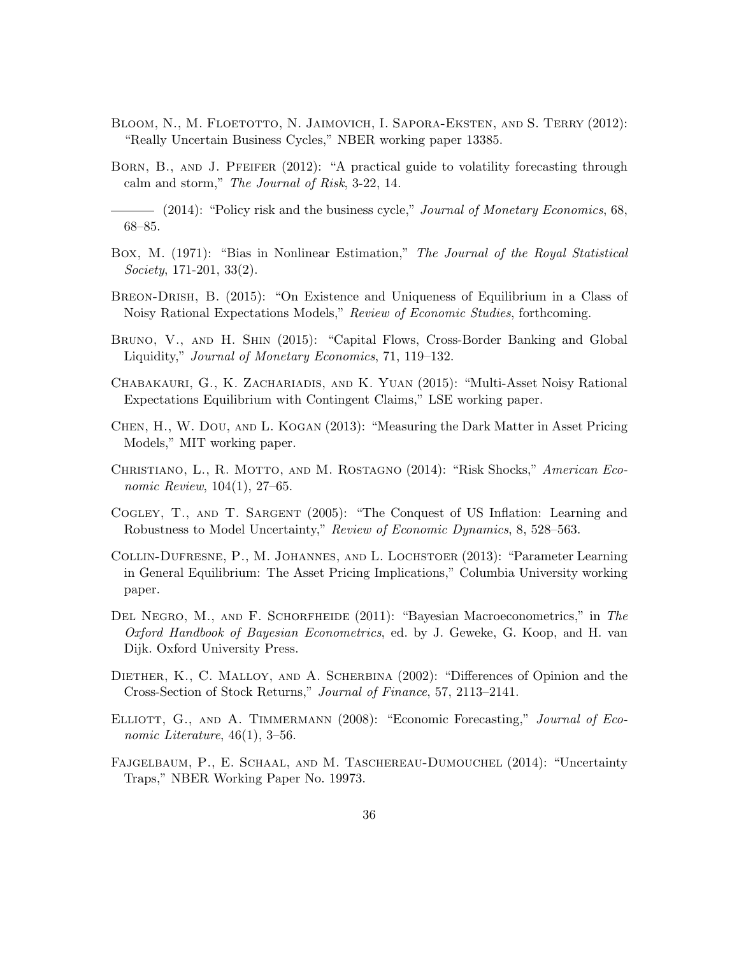- Bloom, N., M. Floetotto, N. Jaimovich, I. Sapora-Eksten, and S. Terry (2012): "Really Uncertain Business Cycles," NBER working paper 13385.
- BORN, B., AND J. PFEIFER (2012): "A practical guide to volatility forecasting through calm and storm," The Journal of Risk, 3-22, 14.

- (2014): "Policy risk and the business cycle," *Journal of Monetary Economics*, 68, 68–85.

- Box, M. (1971): "Bias in Nonlinear Estimation," The Journal of the Royal Statistical Society, 171-201, 33(2).
- Breon-Drish, B. (2015): "On Existence and Uniqueness of Equilibrium in a Class of Noisy Rational Expectations Models," Review of Economic Studies, forthcoming.
- Bruno, V., and H. Shin (2015): "Capital Flows, Cross-Border Banking and Global Liquidity," Journal of Monetary Economics, 71, 119–132.
- Chabakauri, G., K. Zachariadis, and K. Yuan (2015): "Multi-Asset Noisy Rational Expectations Equilibrium with Contingent Claims," LSE working paper.
- Chen, H., W. Dou, and L. Kogan (2013): "Measuring the Dark Matter in Asset Pricing Models," MIT working paper.
- Christiano, L., R. Motto, and M. Rostagno (2014): "Risk Shocks," American Economic Review, 104(1), 27–65.
- Cogley, T., and T. Sargent (2005): "The Conquest of US Inflation: Learning and Robustness to Model Uncertainty," Review of Economic Dynamics, 8, 528–563.
- Collin-Dufresne, P., M. Johannes, and L. Lochstoer (2013): "Parameter Learning in General Equilibrium: The Asset Pricing Implications," Columbia University working paper.
- DEL NEGRO, M., AND F. SCHORFHEIDE (2011): "Bayesian Macroeconometrics," in The Oxford Handbook of Bayesian Econometrics, ed. by J. Geweke, G. Koop, and H. van Dijk. Oxford University Press.
- DIETHER, K., C. MALLOY, AND A. SCHERBINA (2002): "Differences of Opinion and the Cross-Section of Stock Returns," Journal of Finance, 57, 2113–2141.
- ELLIOTT, G., AND A. TIMMERMANN (2008): "Economic Forecasting," Journal of Economic Literature,  $46(1)$ , 3-56.
- FAJGELBAUM, P., E. SCHAAL, AND M. TASCHEREAU-DUMOUCHEL (2014): "Uncertainty Traps," NBER Working Paper No. 19973.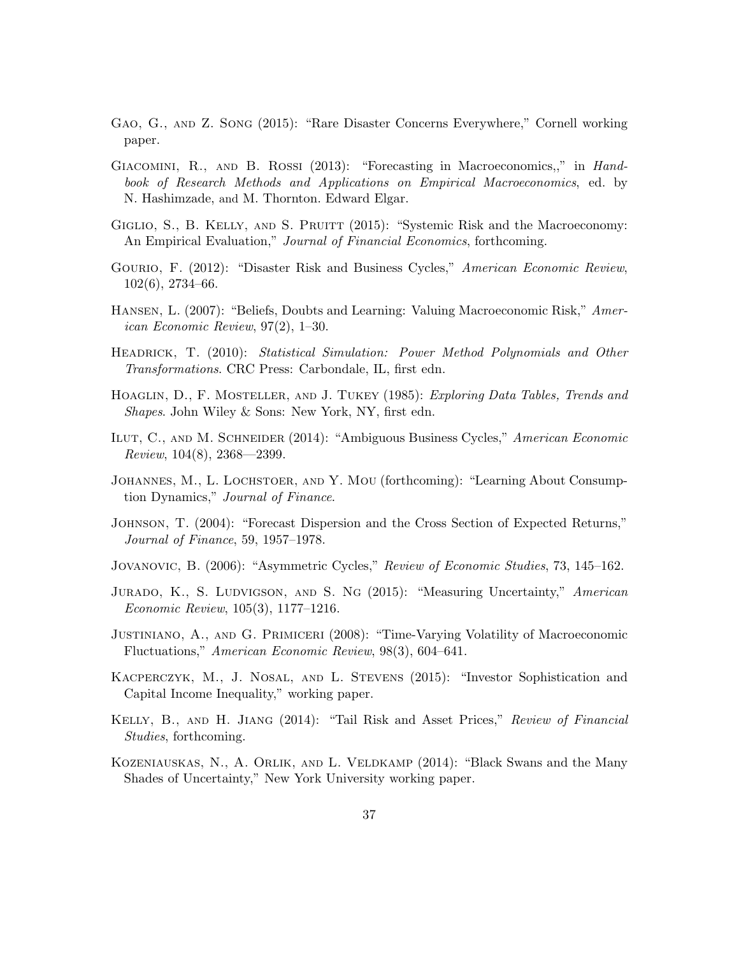- Gao, G., and Z. Song (2015): "Rare Disaster Concerns Everywhere," Cornell working paper.
- GIACOMINI, R., AND B. ROSSI (2013): "Forecasting in Macroeconomics,," in Handbook of Research Methods and Applications on Empirical Macroeconomics, ed. by N. Hashimzade, and M. Thornton. Edward Elgar.
- GIGLIO, S., B. KELLY, AND S. PRUITT (2015): "Systemic Risk and the Macroeconomy: An Empirical Evaluation," Journal of Financial Economics, forthcoming.
- GOURIO, F. (2012): "Disaster Risk and Business Cycles," American Economic Review, 102(6), 2734–66.
- Hansen, L. (2007): "Beliefs, Doubts and Learning: Valuing Macroeconomic Risk," American Economic Review, 97(2), 1–30.
- HEADRICK, T. (2010): Statistical Simulation: Power Method Polynomials and Other Transformations. CRC Press: Carbondale, IL, first edn.
- HOAGLIN, D., F. MOSTELLER, AND J. TUKEY (1985): Exploring Data Tables, Trends and Shapes. John Wiley & Sons: New York, NY, first edn.
- Ilut, C., and M. Schneider (2014): "Ambiguous Business Cycles," American Economic Review, 104(8), 2368—2399.
- Johannes, M., L. Lochstoer, and Y. Mou (forthcoming): "Learning About Consumption Dynamics," Journal of Finance.
- Johnson, T. (2004): "Forecast Dispersion and the Cross Section of Expected Returns," Journal of Finance, 59, 1957–1978.
- Jovanovic, B. (2006): "Asymmetric Cycles," Review of Economic Studies, 73, 145–162.
- JURADO, K., S. LUDVIGSON, AND S. NG (2015): "Measuring Uncertainty," American Economic Review, 105(3), 1177–1216.
- Justiniano, A., and G. Primiceri (2008): "Time-Varying Volatility of Macroeconomic Fluctuations," American Economic Review, 98(3), 604–641.
- Kacperczyk, M., J. Nosal, and L. Stevens (2015): "Investor Sophistication and Capital Income Inequality," working paper.
- Kelly, B., and H. Jiang (2014): "Tail Risk and Asset Prices," Review of Financial Studies, forthcoming.
- Kozeniauskas, N., A. Orlik, and L. Veldkamp (2014): "Black Swans and the Many Shades of Uncertainty," New York University working paper.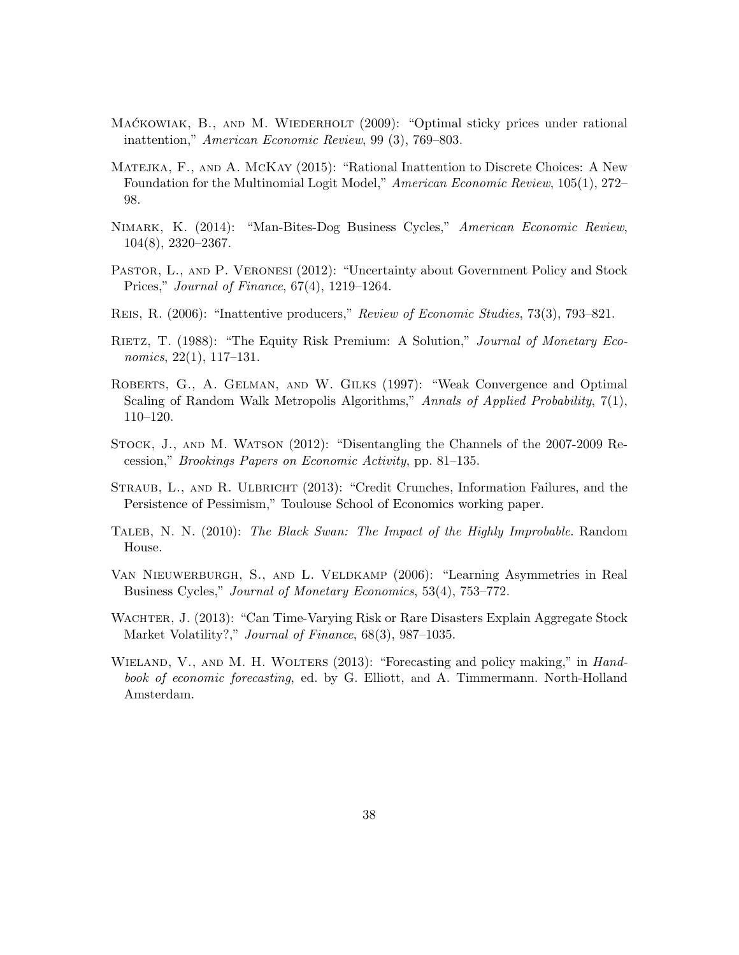- MACKOWIAK, B., AND M. WIEDERHOLT (2009): "Optimal sticky prices under rational inattention," American Economic Review, 99 (3), 769–803.
- Matejka, F., and A. McKay (2015): "Rational Inattention to Discrete Choices: A New Foundation for the Multinomial Logit Model," American Economic Review, 105(1), 272– 98.
- Nimark, K. (2014): "Man-Bites-Dog Business Cycles," American Economic Review, 104(8), 2320–2367.
- PASTOR, L., AND P. VERONESI (2012): "Uncertainty about Government Policy and Stock Prices," Journal of Finance, 67(4), 1219–1264.
- Reis, R. (2006): "Inattentive producers," Review of Economic Studies, 73(3), 793–821.
- RIETZ, T. (1988): "The Equity Risk Premium: A Solution," Journal of Monetary Economics, 22(1), 117–131.
- Roberts, G., A. Gelman, and W. Gilks (1997): "Weak Convergence and Optimal Scaling of Random Walk Metropolis Algorithms," Annals of Applied Probability, 7(1), 110–120.
- Stock, J., and M. Watson (2012): "Disentangling the Channels of the 2007-2009 Recession," Brookings Papers on Economic Activity, pp. 81–135.
- STRAUB, L., AND R. ULBRICHT (2013): "Credit Crunches, Information Failures, and the Persistence of Pessimism," Toulouse School of Economics working paper.
- TALEB, N. N. (2010): The Black Swan: The Impact of the Highly Improbable. Random House.
- Van Nieuwerburgh, S., and L. Veldkamp (2006): "Learning Asymmetries in Real Business Cycles," Journal of Monetary Economics, 53(4), 753–772.
- WACHTER, J. (2013): "Can Time-Varying Risk or Rare Disasters Explain Aggregate Stock Market Volatility?," Journal of Finance, 68(3), 987-1035.
- WIELAND, V., AND M. H. WOLTERS (2013): "Forecasting and policy making," in Handbook of economic forecasting, ed. by G. Elliott, and A. Timmermann. North-Holland Amsterdam.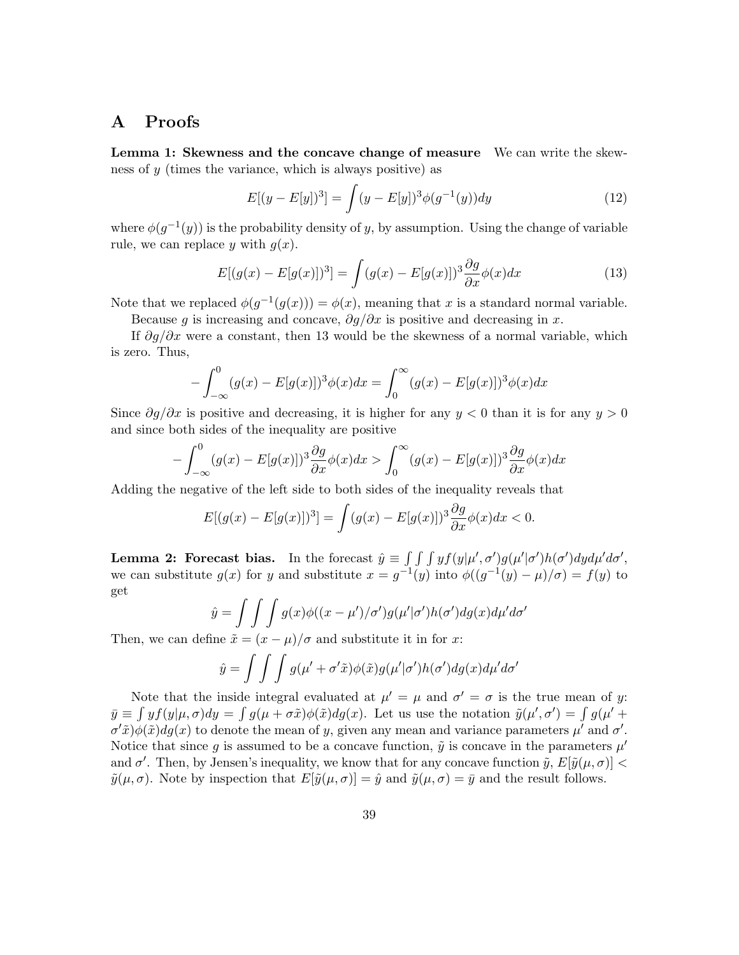## A Proofs

Lemma 1: Skewness and the concave change of measure We can write the skewness of y (times the variance, which is always positive) as

$$
E[(y - E[y])^{3}] = \int (y - E[y])^{3} \phi(g^{-1}(y)) dy
$$
\n(12)

where  $\phi(g^{-1}(y))$  is the probability density of y, by assumption. Using the change of variable rule, we can replace y with  $g(x)$ .

$$
E[(g(x) - E[g(x)])^3] = \int (g(x) - E[g(x)])^3 \frac{\partial g}{\partial x} \phi(x) dx \tag{13}
$$

Note that we replaced  $\phi(g^{-1}(g(x))) = \phi(x)$ , meaning that x is a standard normal variable.

Because q is increasing and concave,  $\partial q/\partial x$  is positive and decreasing in x.

If  $\partial g/\partial x$  were a constant, then 13 would be the skewness of a normal variable, which is zero. Thus,

$$
- \int_{-\infty}^{0} (g(x) - E[g(x)])^3 \phi(x) dx = \int_{0}^{\infty} (g(x) - E[g(x)])^3 \phi(x) dx
$$

Since  $\partial q/\partial x$  is positive and decreasing, it is higher for any  $y < 0$  than it is for any  $y > 0$ and since both sides of the inequality are positive

$$
-\int_{-\infty}^{0} (g(x) - E[g(x)])^3 \frac{\partial g}{\partial x} \phi(x) dx > \int_{0}^{\infty} (g(x) - E[g(x)])^3 \frac{\partial g}{\partial x} \phi(x) dx
$$

Adding the negative of the left side to both sides of the inequality reveals that

$$
E[(g(x) - E[g(x)])^3] = \int (g(x) - E[g(x)])^3 \frac{\partial g}{\partial x} \phi(x) dx < 0.
$$

**Lemma 2: Forecast bias.** In the forecast  $\hat{y} \equiv \int \int \int y f(y|\mu', \sigma') g(\mu'|\sigma') h(\sigma') dy d\mu' d\sigma'$ , we can substitute  $g(x)$  for y and substitute  $x = g^{-1}(y)$  into  $\phi((g^{-1}(y) - \mu)/\sigma) = f(y)$  to get

$$
\hat{y} = \int \int \int g(x) \phi((x - \mu')/\sigma') g(\mu'|\sigma') h(\sigma') dg(x) d\mu' d\sigma'
$$

Then, we can define  $\tilde{x} = (x - \mu)/\sigma$  and substitute it in for x:

$$
\hat{y} = \int \int \int g(\mu' + \sigma' \tilde{x}) \phi(\tilde{x}) g(\mu'|\sigma') h(\sigma') dg(x) d\mu' d\sigma'
$$

Note that the inside integral evaluated at  $\mu' = \mu$  and  $\sigma' = \sigma$  is the true mean of y:  $\bar{y} \equiv \int y f(y|\mu, \sigma) dy = \int g(\mu + \sigma \tilde{x}) \phi(\tilde{x}) dg(x)$ . Let us use the notation  $\tilde{y}(\mu', \sigma') = \int g(\mu' + \sigma \tilde{x}) \phi(\tilde{x}) dg(x)$ .  $\sigma'$  $\tilde{x}$ ) $\phi(\tilde{x})dg(x)$  to denote the mean of y, given any mean and variance parameters  $\mu'$  and  $\sigma'$ . Notice that since g is assumed to be a concave function,  $\tilde{y}$  is concave in the parameters  $\mu'$ and  $\sigma'$ . Then, by Jensen's inequality, we know that for any concave function  $\tilde{y}, E[\tilde{y}(\mu, \sigma)]$  <  $\tilde{y}(\mu, \sigma)$ . Note by inspection that  $E[\tilde{y}(\mu, \sigma)] = \hat{y}$  and  $\tilde{y}(\mu, \sigma) = \bar{y}$  and the result follows.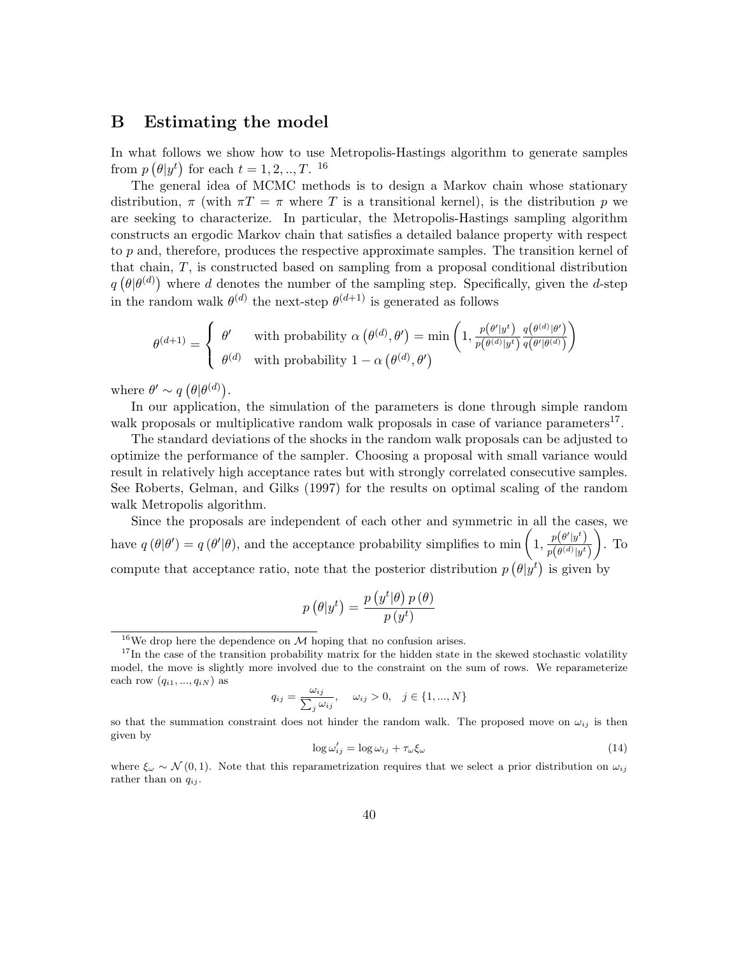## B Estimating the model

In what follows we show how to use Metropolis-Hastings algorithm to generate samples from  $p(\theta | y^t)$  for each  $t = 1, 2, ..., T$ . <sup>16</sup>

The general idea of MCMC methods is to design a Markov chain whose stationary distribution,  $\pi$  (with  $\pi T = \pi$  where T is a transitional kernel), is the distribution p we are seeking to characterize. In particular, the Metropolis-Hastings sampling algorithm constructs an ergodic Markov chain that satisfies a detailed balance property with respect to  $p$  and, therefore, produces the respective approximate samples. The transition kernel of that chain, T, is constructed based on sampling from a proposal conditional distribution  $q(\theta|\theta^{(d)})$  where d denotes the number of the sampling step. Specifically, given the d-step in the random walk  $\theta^{(d)}$  the next-step  $\theta^{(d+1)}$  is generated as follows

$$
\theta^{(d+1)} = \begin{cases} \theta' & \text{with probability } \alpha(\theta^{(d)}, \theta') = \min\left(1, \frac{p(\theta'|y^t)}{p(\theta^{(d)}|y^t)} \frac{q(\theta^{(d)}|\theta')}{q(\theta'|\theta^{(d)})}\right) \\ \theta^{(d)} & \text{with probability } 1 - \alpha(\theta^{(d)}, \theta') \end{cases}
$$

where  $\theta' \sim q\left(\theta|\theta^{(d)}\right)$ .

In our application, the simulation of the parameters is done through simple random walk proposals or multiplicative random walk proposals in case of variance parameters<sup>17</sup>.

The standard deviations of the shocks in the random walk proposals can be adjusted to optimize the performance of the sampler. Choosing a proposal with small variance would result in relatively high acceptance rates but with strongly correlated consecutive samples. See Roberts, Gelman, and Gilks (1997) for the results on optimal scaling of the random walk Metropolis algorithm.

Since the proposals are independent of each other and symmetric in all the cases, we have  $q(\theta|\theta') = q(\theta'|\theta)$ , and the acceptance probability simplifies to min  $\left(1, \frac{p(\theta'|y^t)}{p(\theta^{(d)}|y^t)}\right)$  $p\bigl(\theta^{(d)}|y^{t}\bigr)$  $\big)$ . To compute that acceptance ratio, note that the posterior distribution  $p\left(\theta|y^t\right)$  is given by

$$
p\left(\theta|y^{t}\right) = \frac{p\left(y^{t}|\theta\right)p\left(\theta\right)}{p\left(y^{t}\right)}
$$

$$
q_{ij} = \frac{\omega_{ij}}{\sum_j \omega_{ij}}, \quad \omega_{ij} > 0, \quad j \in \{1, ..., N\}
$$

$$
\log \omega'_{ij} = \log \omega_{ij} + \tau_{\omega} \xi_{\omega} \tag{14}
$$

<sup>&</sup>lt;sup>16</sup>We drop here the dependence on  $M$  hoping that no confusion arises.

 $17$ In the case of the transition probability matrix for the hidden state in the skewed stochastic volatility model, the move is slightly more involved due to the constraint on the sum of rows. We reparameterize each row  $(q_{i1}, ..., q_{iN})$  as

so that the summation constraint does not hinder the random walk. The proposed move on  $\omega_{ij}$  is then given by

where  $\xi_{\omega} \sim \mathcal{N}(0, 1)$ . Note that this reparametrization requires that we select a prior distribution on  $\omega_{ij}$ rather than on  $q_{ij}$ .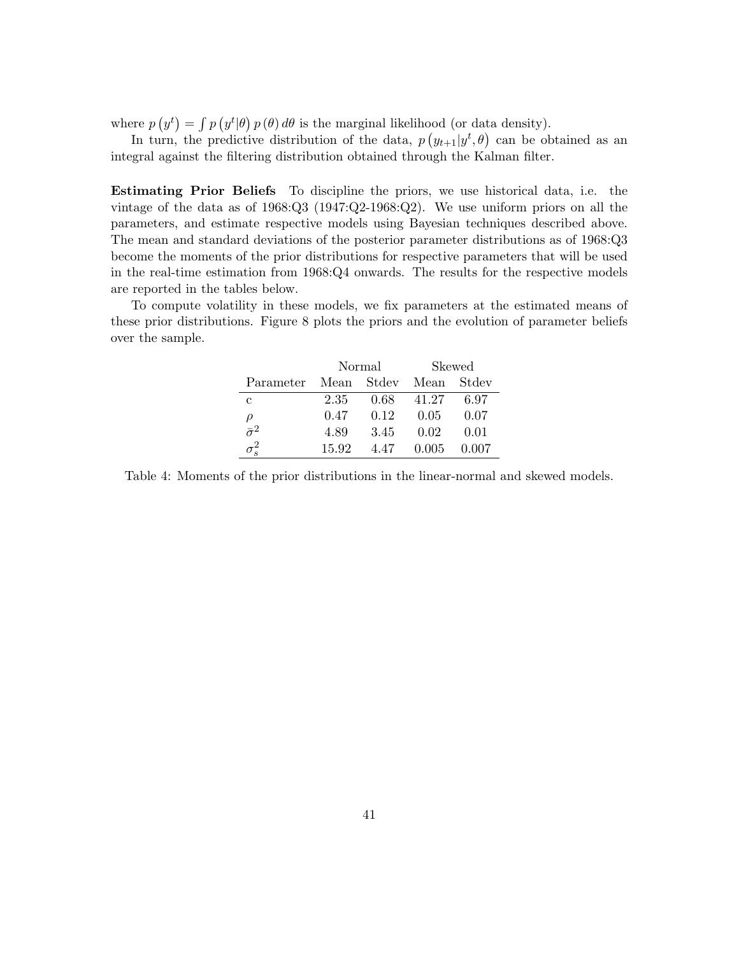where  $p(y^t) = \int p(y^t|\theta) p(\theta) d\theta$  is the marginal likelihood (or data density).

In turn, the predictive distribution of the data,  $p(y_{t+1}|y^t, \theta)$  can be obtained as an integral against the filtering distribution obtained through the Kalman filter.

Estimating Prior Beliefs To discipline the priors, we use historical data, i.e. the vintage of the data as of 1968:Q3 (1947:Q2-1968:Q2). We use uniform priors on all the parameters, and estimate respective models using Bayesian techniques described above. The mean and standard deviations of the posterior parameter distributions as of 1968:Q3 become the moments of the prior distributions for respective parameters that will be used in the real-time estimation from 1968:Q4 onwards. The results for the respective models are reported in the tables below.

To compute volatility in these models, we fix parameters at the estimated means of these prior distributions. Figure 8 plots the priors and the evolution of parameter beliefs over the sample.

|                       | Normal |      | <b>Skewed</b> |       |
|-----------------------|--------|------|---------------|-------|
| Parameter Mean Stdev  |        |      | Mean          | Stdev |
| C                     | 2.35   | 0.68 | 41.27         | 6.97  |
| $\rho$                | 0.47   | 0.12 | 0.05          | 0.07  |
| $\overline{\sigma}^2$ | 4.89   | 3.45 | 0.02          | 0.01  |
|                       | 15.92  | 4.47 | 0.005         | 0.007 |

Table 4: Moments of the prior distributions in the linear-normal and skewed models.